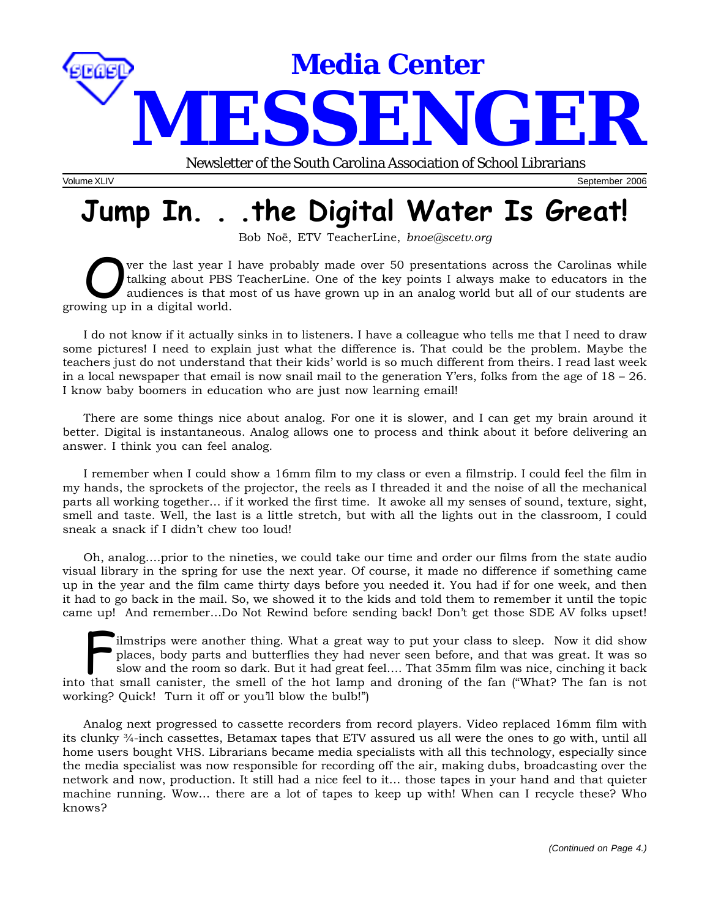

Volume XLIV September 2006

# **Jump In. . .the Digital Water Is Great!**

Bob Noë, ETV TeacherLine, *bnoe@scetv.org*

Ver the last year I have probably made over 50 presentations across the Carolinas while talking about PBS TeacherLine. One of the key points I always make to educators in the audiences is that most of us have grown up in a talking about PBS TeacherLine. One of the key points I always make to educators in the audiences is that most of us have grown up in an analog world but all of our students are growing up in a digital world.

I do not know if it actually sinks in to listeners. I have a colleague who tells me that I need to draw some pictures! I need to explain just what the difference is. That could be the problem. Maybe the teachers just do not understand that their kids' world is so much different from theirs. I read last week in a local newspaper that email is now snail mail to the generation Y'ers, folks from the age of  $18 - 26$ . I know baby boomers in education who are just now learning email!

There are some things nice about analog. For one it is slower, and I can get my brain around it better. Digital is instantaneous. Analog allows one to process and think about it before delivering an answer. I think you can feel analog.

I remember when I could show a 16mm film to my class or even a filmstrip. I could feel the film in my hands, the sprockets of the projector, the reels as I threaded it and the noise of all the mechanical parts all working together… if it worked the first time. It awoke all my senses of sound, texture, sight, smell and taste. Well, the last is a little stretch, but with all the lights out in the classroom, I could sneak a snack if I didn't chew too loud!

Oh, analog….prior to the nineties, we could take our time and order our films from the state audio visual library in the spring for use the next year. Of course, it made no difference if something came up in the year and the film came thirty days before you needed it. You had if for one week, and then it had to go back in the mail. So, we showed it to the kids and told them to remember it until the topic came up! And remember…Do Not Rewind before sending back! Don't get those SDE AV folks upset!

ilmstrips were another thing. What a great way to put your class to sleep. Now it did show<br>places, body parts and butterflies they had never seen before, and that was great. It was so<br>slow and the room so dark. But it had places, body parts and butterflies they had never seen before, and that was great. It was so slow and the room so dark. But it had great feel…. That 35mm film was nice, cinching it back into that small canister, the smell of the hot lamp and droning of the fan ("What? The fan is not working? Quick! Turn it off or you'll blow the bulb!")

Analog next progressed to cassette recorders from record players. Video replaced 16mm film with its clunky ¾-inch cassettes, Betamax tapes that ETV assured us all were the ones to go with, until all home users bought VHS. Librarians became media specialists with all this technology, especially since the media specialist was now responsible for recording off the air, making dubs, broadcasting over the network and now, production. It still had a nice feel to it… those tapes in your hand and that quieter machine running. Wow… there are a lot of tapes to keep up with! When can I recycle these? Who knows?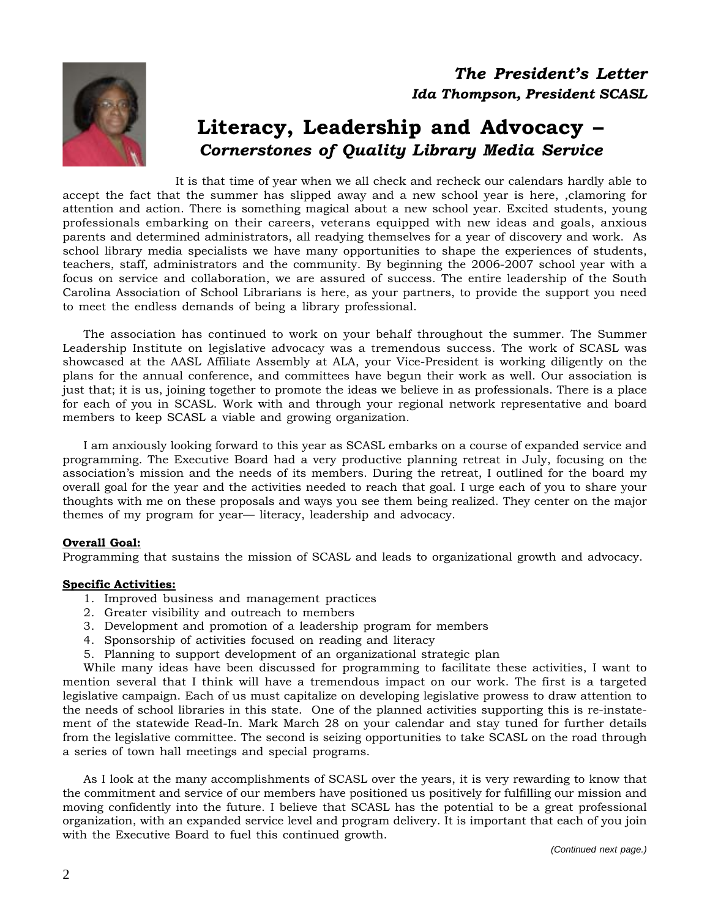



### **Literacy, Leadership and Advocacy –** *Cornerstones of Quality Library Media Service*

It is that time of year when we all check and recheck our calendars hardly able to accept the fact that the summer has slipped away and a new school year is here, ,clamoring for attention and action. There is something magical about a new school year. Excited students, young professionals embarking on their careers, veterans equipped with new ideas and goals, anxious parents and determined administrators, all readying themselves for a year of discovery and work. As school library media specialists we have many opportunities to shape the experiences of students, teachers, staff, administrators and the community. By beginning the 2006-2007 school year with a focus on service and collaboration, we are assured of success. The entire leadership of the South Carolina Association of School Librarians is here, as your partners, to provide the support you need to meet the endless demands of being a library professional.

The association has continued to work on your behalf throughout the summer. The Summer Leadership Institute on legislative advocacy was a tremendous success. The work of SCASL was showcased at the AASL Affiliate Assembly at ALA, your Vice-President is working diligently on the plans for the annual conference, and committees have begun their work as well. Our association is just that; it is us, joining together to promote the ideas we believe in as professionals. There is a place for each of you in SCASL. Work with and through your regional network representative and board members to keep SCASL a viable and growing organization.

I am anxiously looking forward to this year as SCASL embarks on a course of expanded service and programming. The Executive Board had a very productive planning retreat in July, focusing on the association's mission and the needs of its members. During the retreat, I outlined for the board my overall goal for the year and the activities needed to reach that goal. I urge each of you to share your thoughts with me on these proposals and ways you see them being realized. They center on the major themes of my program for year— literacy, leadership and advocacy.

### **Overall Goal:**

Programming that sustains the mission of SCASL and leads to organizational growth and advocacy.

### **Specific Activities:**

- 1. Improved business and management practices
- 2. Greater visibility and outreach to members
- 3. Development and promotion of a leadership program for members
- 4. Sponsorship of activities focused on reading and literacy
- 5. Planning to support development of an organizational strategic plan

While many ideas have been discussed for programming to facilitate these activities, I want to mention several that I think will have a tremendous impact on our work. The first is a targeted legislative campaign. Each of us must capitalize on developing legislative prowess to draw attention to the needs of school libraries in this state. One of the planned activities supporting this is re-instatement of the statewide Read-In. Mark March 28 on your calendar and stay tuned for further details from the legislative committee. The second is seizing opportunities to take SCASL on the road through a series of town hall meetings and special programs.

As I look at the many accomplishments of SCASL over the years, it is very rewarding to know that the commitment and service of our members have positioned us positively for fulfilling our mission and moving confidently into the future. I believe that SCASL has the potential to be a great professional organization, with an expanded service level and program delivery. It is important that each of you join with the Executive Board to fuel this continued growth.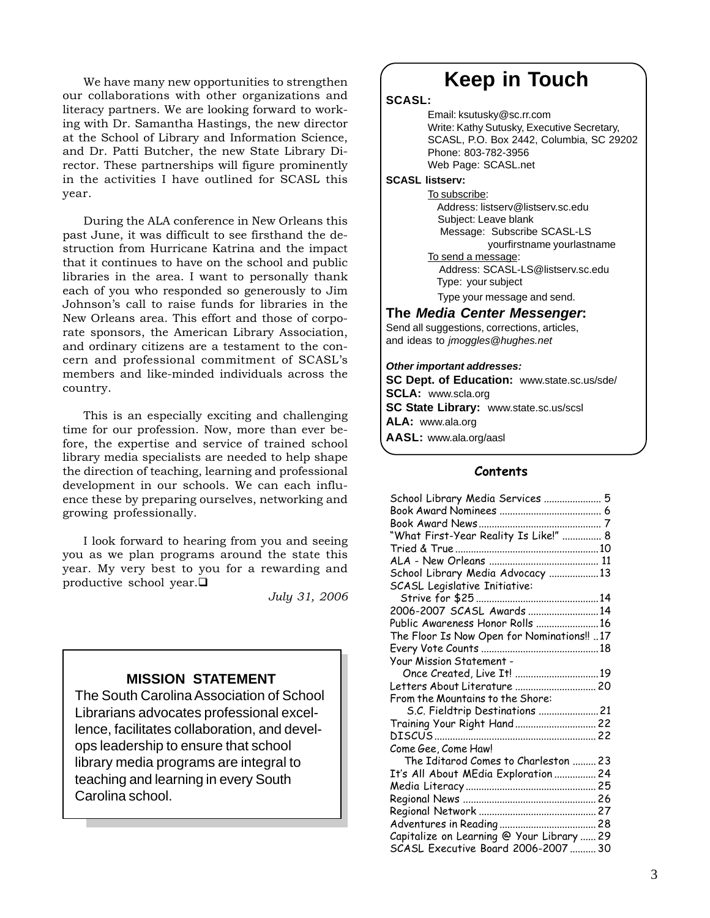We have many new opportunities to strengthen our collaborations with other organizations and literacy partners. We are looking forward to working with Dr. Samantha Hastings, the new director at the School of Library and Information Science, and Dr. Patti Butcher, the new State Library Director. These partnerships will figure prominently in the activities I have outlined for SCASL this year.

During the ALA conference in New Orleans this past June, it was difficult to see firsthand the destruction from Hurricane Katrina and the impact that it continues to have on the school and public libraries in the area. I want to personally thank each of you who responded so generously to Jim Johnson's call to raise funds for libraries in the New Orleans area. This effort and those of corporate sponsors, the American Library Association, and ordinary citizens are a testament to the concern and professional commitment of SCASL's members and like-minded individuals across the country.

This is an especially exciting and challenging time for our profession. Now, more than ever before, the expertise and service of trained school library media specialists are needed to help shape the direction of teaching, learning and professional development in our schools. We can each influence these by preparing ourselves, networking and growing professionally.

I look forward to hearing from you and seeing you as we plan programs around the state this year. My very best to you for a rewarding and productive school year.

*July 31, 2006*

### **MISSION STATEMENT**

The South Carolina Association of School Librarians advocates professional excellence, facilitates collaboration, and develops leadership to ensure that school library media programs are integral to teaching and learning in every South Carolina school.

### **Keep in Touch**

### **SCASL:**

Email: ksutusky@sc.rr.com Write: Kathy Sutusky, Executive Secretary, SCASL, P.O. Box 2442, Columbia, SC 29202 Phone: 803-782-3956 Web Page: SCASL.net

### **SCASL listserv:**

To subscribe: Address: listserv@listserv.sc.edu Subject: Leave blank Message: Subscribe SCASL-LS yourfirstname yourlastname To send a message: Address: SCASL-LS@listserv.sc.edu Type: your subject

Type your message and send.

### **The** *Media Center Messenger***:**

Send all suggestions, corrections, articles, and ideas to *jmoggles@hughes.net*

### *Other important addresses:*

**SC Dept. of Education:** www.state.sc.us/sde/ **SCLA:** www.scla.org **SC State Library:** www.state.sc.us/scsl **ALA:** www.ala.org **AASL:** www.ala.org/aasl

### **Contents**

| School Library Media Services  5            |  |
|---------------------------------------------|--|
|                                             |  |
|                                             |  |
| "What First-Year Reality Is Like!"  8       |  |
|                                             |  |
|                                             |  |
| School Library Media Advocacy  13           |  |
| SCASL Legislative Initiative:               |  |
|                                             |  |
| 2006-2007 SCASL Awards 14                   |  |
| Public Awareness Honor Rolls 16             |  |
| The Floor Is Now Open for Nominations!!  17 |  |
|                                             |  |
| Your Mission Statement -                    |  |
| Once Created, Live It! 19                   |  |
|                                             |  |
| From the Mountains to the Shore:            |  |
| S.C. Fieldtrip Destinations  21             |  |
| Training Your Right Hand  22                |  |
|                                             |  |
| Come Gee, Come Haw!                         |  |
| The Iditarod Comes to Charleston  23        |  |
| It's All About MEdia Exploration  24        |  |
|                                             |  |
|                                             |  |
|                                             |  |
|                                             |  |
| Capitalize on Learning @ Your Library  29   |  |
| SCASL Executive Board 2006-2007  30         |  |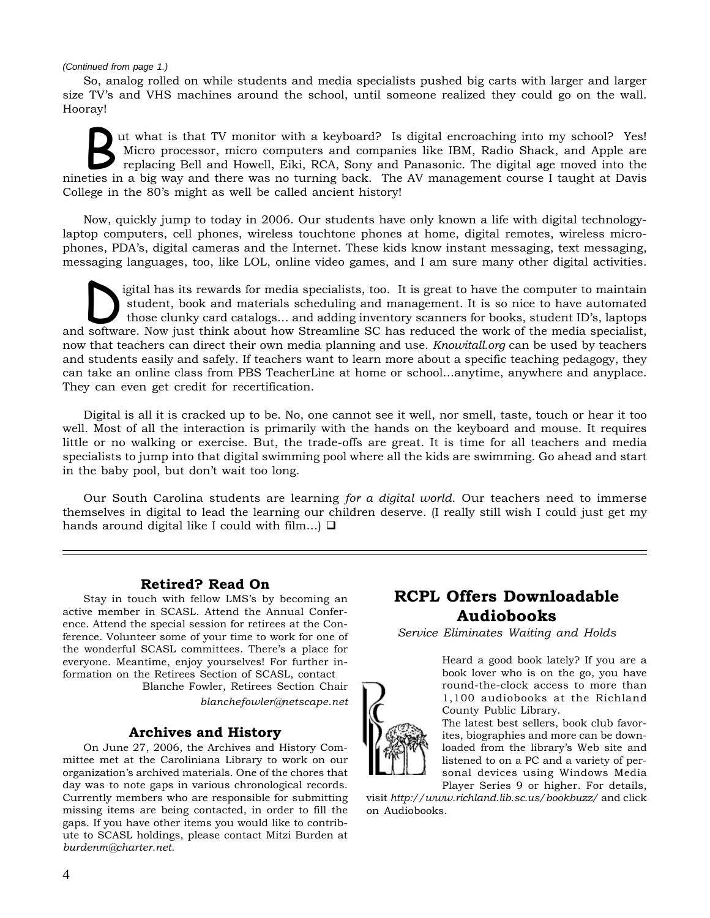### *(Continued from page 1.)*

So, analog rolled on while students and media specialists pushed big carts with larger and larger size TV's and VHS machines around the school, until someone realized they could go on the wall. Hooray!

I all that is that TV monitor with a keyboard? Is digital encroaching into my school? Yes!<br>
I Micro processor, micro computers and companies like IBM, Radio Shack, and Apple are<br>
replacing Bell and Howell, Eiki, RCA, Sony Micro processor, micro computers and companies like IBM, Radio Shack, and Apple are nineties in a big way and there was no turning back. The AV management course I taught at Davis College in the 80's might as well be called ancient history!

Now, quickly jump to today in 2006. Our students have only known a life with digital technologylaptop computers, cell phones, wireless touchtone phones at home, digital remotes, wireless microphones, PDA's, digital cameras and the Internet. These kids know instant messaging, text messaging, messaging languages, too, like LOL, online video games, and I am sure many other digital activities.

igital has its rewards for media specialists, too. It is great to have the computer to maintain<br>student, book and materials scheduling and management. It is so nice to have automated<br>those clunky card catalogs... and addin student, book and materials scheduling and management. It is so nice to have automated those clunky card catalogs… and adding inventory scanners for books, student ID's, laptops and software. Now just think about how Streamline SC has reduced the work of the media specialist, now that teachers can direct their own media planning and use. *Knowitall.org* can be used by teachers and students easily and safely. If teachers want to learn more about a specific teaching pedagogy, they can take an online class from PBS TeacherLine at home or school…anytime, anywhere and anyplace. They can even get credit for recertification.

Digital is all it is cracked up to be. No, one cannot see it well, nor smell, taste, touch or hear it too well. Most of all the interaction is primarily with the hands on the keyboard and mouse. It requires little or no walking or exercise. But, the trade-offs are great. It is time for all teachers and media specialists to jump into that digital swimming pool where all the kids are swimming. Go ahead and start in the baby pool, but don't wait too long.

Our South Carolina students are learning *for a digital world*. Our teachers need to immerse themselves in digital to lead the learning our children deserve. (I really still wish I could just get my hands around digital like I could with film...)  $\Box$ 

### **Retired? Read On**

Stay in touch with fellow LMS's by becoming an active member in SCASL. Attend the Annual Conference. Attend the special session for retirees at the Conference. Volunteer some of your time to work for one of the wonderful SCASL committees. There's a place for everyone. Meantime, enjoy yourselves! For further information on the Retirees Section of SCASL, contact

> Blanche Fowler, Retirees Section Chair *blanchefowler@netscape.net*

### **Archives and History**

On June 27, 2006, the Archives and History Committee met at the Caroliniana Library to work on our organization's archived materials. One of the chores that day was to note gaps in various chronological records. Currently members who are responsible for submitting missing items are being contacted, in order to fill the gaps. If you have other items you would like to contribute to SCASL holdings, please contact Mitzi Burden at *burdenm@charter.net.*

### **RCPL Offers Downloadable Audiobooks**

*Service Eliminates Waiting and Holds*

Heard a good book lately? If you are a book lover who is on the go, you have round-the-clock access to more than 1,100 audiobooks at the Richland County Public Library.

The latest best sellers, book club favorites, biographies and more can be downloaded from the library's Web site and listened to on a PC and a variety of personal devices using Windows Media

Player Series 9 or higher. For details, visit *http://www.richland.lib.sc.us/bookbuzz/* and click on Audiobooks.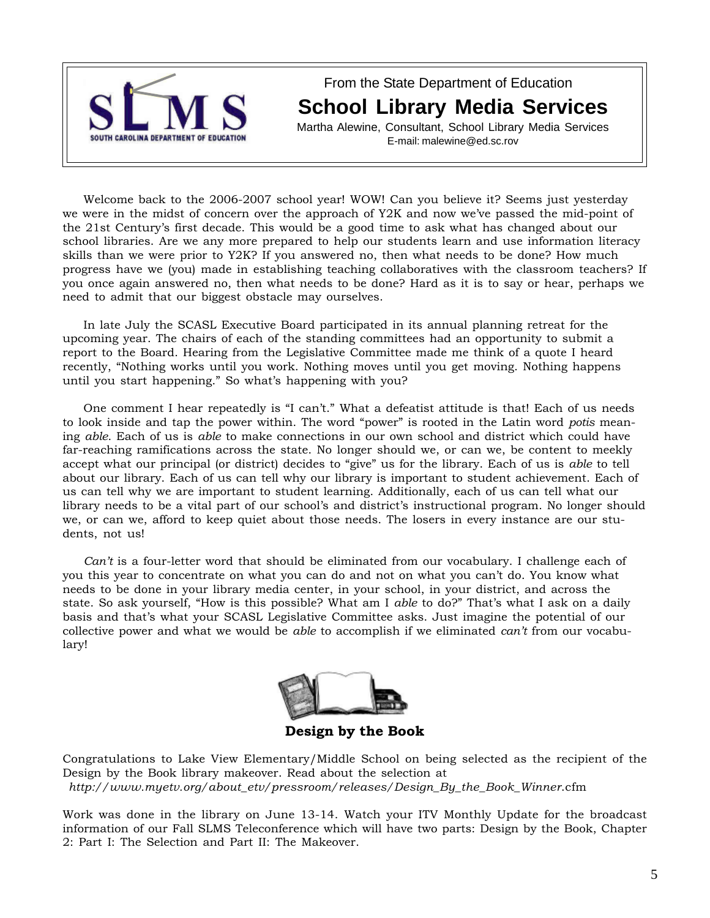

From the State Department of Education **School Library Media Services**

Martha Alewine, Consultant, School Library Media Services E-mail: malewine@ed.sc.rov

Welcome back to the 2006-2007 school year! WOW! Can you believe it? Seems just yesterday we were in the midst of concern over the approach of Y2K and now we've passed the mid-point of the 21st Century's first decade. This would be a good time to ask what has changed about our school libraries. Are we any more prepared to help our students learn and use information literacy skills than we were prior to Y2K? If you answered no, then what needs to be done? How much progress have we (you) made in establishing teaching collaboratives with the classroom teachers? If you once again answered no, then what needs to be done? Hard as it is to say or hear, perhaps we need to admit that our biggest obstacle may ourselves.

In late July the SCASL Executive Board participated in its annual planning retreat for the upcoming year. The chairs of each of the standing committees had an opportunity to submit a report to the Board. Hearing from the Legislative Committee made me think of a quote I heard recently, "Nothing works until you work. Nothing moves until you get moving. Nothing happens until you start happening." So what's happening with you?

One comment I hear repeatedly is "I can't." What a defeatist attitude is that! Each of us needs to look inside and tap the power within. The word "power" is rooted in the Latin word *potis* meaning *able*. Each of us is *able* to make connections in our own school and district which could have far-reaching ramifications across the state. No longer should we, or can we, be content to meekly accept what our principal (or district) decides to "give" us for the library. Each of us is *able* to tell about our library. Each of us can tell why our library is important to student achievement. Each of us can tell why we are important to student learning. Additionally, each of us can tell what our library needs to be a vital part of our school's and district's instructional program. No longer should we, or can we, afford to keep quiet about those needs. The losers in every instance are our students, not us!

*Can't* is a four-letter word that should be eliminated from our vocabulary. I challenge each of you this year to concentrate on what you can do and not on what you can't do. You know what needs to be done in your library media center, in your school, in your district, and across the state. So ask yourself, "How is this possible? What am I *able* to do?" That's what I ask on a daily basis and that's what your SCASL Legislative Committee asks. Just imagine the potential of our collective power and what we would be *able* to accomplish if we eliminated *can't* from our vocabulary!



**Design by the Book**

Congratulations to Lake View Elementary/Middle School on being selected as the recipient of the Design by the Book library makeover. Read about the selection at *http://www.myetv.org/about\_etv/pressroom/releases/Design\_By\_the\_Book\_Winner*.cfm

Work was done in the library on June 13-14. Watch your ITV Monthly Update for the broadcast information of our Fall SLMS Teleconference which will have two parts: Design by the Book, Chapter 2: Part I: The Selection and Part II: The Makeover.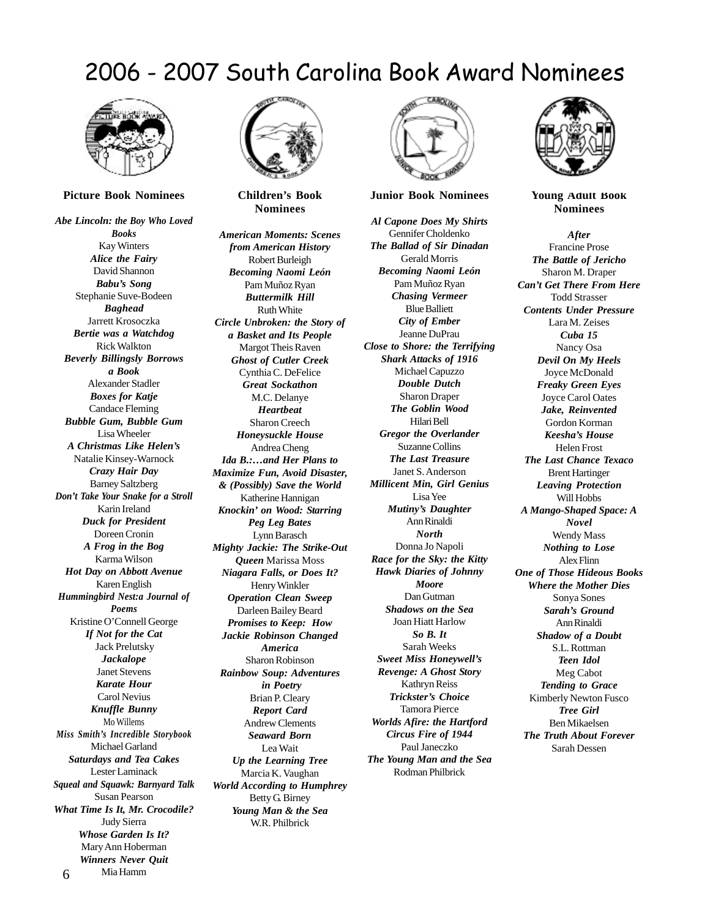### 2006 - 2007 South Carolina Book Award Nominees



**Picture Book Nominees**

*Abe Lincoln: the Boy Who Loved Books* Kay Winters *Alice the Fairy* David Shannon *Babu's Song* Stephanie Suve-Bodeen *Baghead* Jarrett Krosoczka *Bertie was a Watchdog* Rick Walkton *Beverly Billingsly Borrows a Book* Alexander Stadler *Boxes for Katje* Candace Fleming *Bubble Gum, Bubble Gum* Lisa Wheeler *A Christmas Like Helen's* Natalie Kinsey-Warnock *Crazy Hair Day* Barney Saltzberg *Don't Take Your Snake for a Stroll* Karin Ireland *Duck for President* Doreen Cronin *A Frog in the Bog* Karma Wilson *Hot Day on Abbott Avenue* Karen English *Hummingbird Nest:a Journal of Poems* Kristine O'Connell George *If Not for the Cat* Jack Prelutsky *Jackalope* Janet Stevens *Karate Hour* Carol Nevius *Knuffle Bunny* Mo Willems *Miss Smith's Incredible Storybook* Michael Garland *Saturdays and Tea Cakes* Lester Laminack *Squeal and Squawk: Barnyard Talk* Susan Pearson *What Time Is It, Mr. Crocodile?* Judy Sierra *Whose Garden Is It?* Mary Ann Hoberman *Winners Never Quit*

6

Mia Hamm



**Children's Book Nominees**

*American Moments: Scenes from American History* Robert Burleigh *Becoming Naomi León* Pam Muñoz Ryan *Buttermilk Hill* Ruth White *Circle Unbroken: the Story of a Basket and Its People* Margot Theis Raven *Ghost of Cutler Creek* Cynthia C. DeFelice *Great Sockathon* M.C. Delanye *Heartbeat* Sharon Creech *Honeysuckle House* Andrea Cheng *Ida B.:…and Her Plans to Maximize Fun, Avoid Disaster, & (Possibly) Save the World* Katherine Hannigan *Knockin' on Wood: Starring Peg Leg Bates* Lynn Barasch *Mighty Jackie: The Strike-Out Queen* Marissa Moss *Niagara Falls, or Does It?* Henry Winkler *Operation Clean Sweep* Darleen Bailey Beard *Promises to Keep: How Jackie Robinson Changed America* Sharon Robinson *Rainbow Soup: Adventures in Poetry* Brian P. Cleary *Report Card* Andrew Clements *Seaward Born* Lea Wait *Up the Learning Tree* Marcia K. Vaughan *World According to Humphrey* Betty G. Birney *Young Man & the Sea* W.R. Philbrick



#### **Junior Book Nominees**

*Al Capone Does My Shirts* Gennifer Choldenko *The Ballad of Sir Dinadan* Gerald Morris *Becoming Naomi León* Pam Muñoz Ryan *Chasing Vermeer* Blue Balliett *City of Ember* Jeanne DuPrau *Close to Shore: the Terrifying Shark Attacks of 1916* Michael Capuzzo *Double Dutch* Sharon Draper *The Goblin Wood* Hilari Bell *Gregor the Overlander* Suzanne Collins *The Last Treasure* Janet S. Anderson *Millicent Min, Girl Genius* Lisa Yee *Mutiny's Daughter* Ann Rinaldi *North* Donna Jo Napoli *Race for the Sky: the Kitty Hawk Diaries of Johnny Moore* Dan Gutman *Shadows on the Sea* Joan Hiatt Harlow *So B. It* Sarah Weeks *Sweet Miss Honeywell's Revenge: A Ghost Story* Kathryn Reiss *Trickster's Choice* Tamora Pierce *Worlds Afire: the Hartford Circus Fire of 1944* Paul Janeczko *The Young Man and the Sea* Rodman Philbrick



**Young Adult Book Nominees**

*After* Francine Prose *The Battle of Jericho* Sharon M. Draper *Can't Get There From Here* Todd Strasser *Contents Under Pressure* Lara M. Zeises *Cuba 15* Nancy Osa *Devil On My Heels* Joyce McDonald *Freaky Green Eyes* Joyce Carol Oates *Jake, Reinvented* Gordon Korman *Keesha's House* Helen Frost *The Last Chance Texaco* Brent Hartinger *Leaving Protection* Will Hobbs *A Mango-Shaped Space: A Novel* Wendy Mass *Nothing to Lose* Alex Flinn *One of Those Hideous Books Where the Mother Dies* Sonya Sones *Sarah's Ground* Ann Rinaldi *Shadow of a Doubt* S.L. Rottman *Teen Idol* Meg Cabot *Tending to Grace* Kimberly Newton Fusco *Tree Girl* Ben Mikaelsen *The Truth About Forever* Sarah Dessen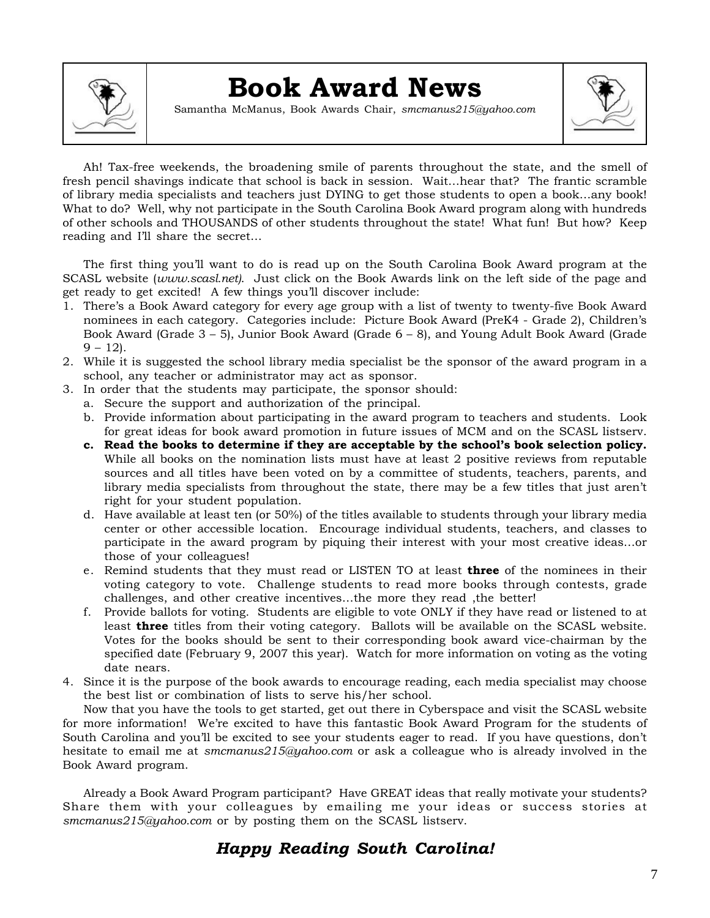

## **Book Award News**

Samantha McManus, Book Awards Chair, *smcmanus215@yahoo.com*



Ah! Tax-free weekends, the broadening smile of parents throughout the state, and the smell of fresh pencil shavings indicate that school is back in session. Wait…hear that? The frantic scramble of library media specialists and teachers just DYING to get those students to open a book…any book! What to do? Well, why not participate in the South Carolina Book Award program along with hundreds of other schools and THOUSANDS of other students throughout the state! What fun! But how? Keep reading and I'll share the secret…

The first thing you'll want to do is read up on the South Carolina Book Award program at the SCASL website (*www.scasl.net)*. Just click on the Book Awards link on the left side of the page and get ready to get excited! A few things you'll discover include:

- 1. There's a Book Award category for every age group with a list of twenty to twenty-five Book Award nominees in each category. Categories include: Picture Book Award (PreK4 - Grade 2), Children's Book Award (Grade 3 – 5), Junior Book Award (Grade 6 – 8), and Young Adult Book Award (Grade  $9 - 12$ .
- 2. While it is suggested the school library media specialist be the sponsor of the award program in a school, any teacher or administrator may act as sponsor.
- 3. In order that the students may participate, the sponsor should:
	- a. Secure the support and authorization of the principal.
	- b. Provide information about participating in the award program to teachers and students. Look for great ideas for book award promotion in future issues of MCM and on the SCASL listserv.
	- **c. Read the books to determine if they are acceptable by the school's book selection policy.** While all books on the nomination lists must have at least 2 positive reviews from reputable sources and all titles have been voted on by a committee of students, teachers, parents, and library media specialists from throughout the state, there may be a few titles that just aren't right for your student population.
	- d. Have available at least ten (or 50%) of the titles available to students through your library media center or other accessible location. Encourage individual students, teachers, and classes to participate in the award program by piquing their interest with your most creative ideas…or those of your colleagues!
	- e. Remind students that they must read or LISTEN TO at least **three** of the nominees in their voting category to vote. Challenge students to read more books through contests, grade challenges, and other creative incentives…the more they read ,the better!
	- f. Provide ballots for voting. Students are eligible to vote ONLY if they have read or listened to at least **three** titles from their voting category. Ballots will be available on the SCASL website. Votes for the books should be sent to their corresponding book award vice-chairman by the specified date (February 9, 2007 this year). Watch for more information on voting as the voting date nears.
- 4. Since it is the purpose of the book awards to encourage reading, each media specialist may choose the best list or combination of lists to serve his/her school.

Now that you have the tools to get started, get out there in Cyberspace and visit the SCASL website for more information! We're excited to have this fantastic Book Award Program for the students of South Carolina and you'll be excited to see your students eager to read. If you have questions, don't hesitate to email me at *smcmanus215@yahoo.com* or ask a colleague who is already involved in the Book Award program.

Already a Book Award Program participant? Have GREAT ideas that really motivate your students? Share them with your colleagues by emailing me your ideas or success stories at *smcmanus215@yahoo.com* or by posting them on the SCASL listserv.

### *Happy Reading South Carolina!*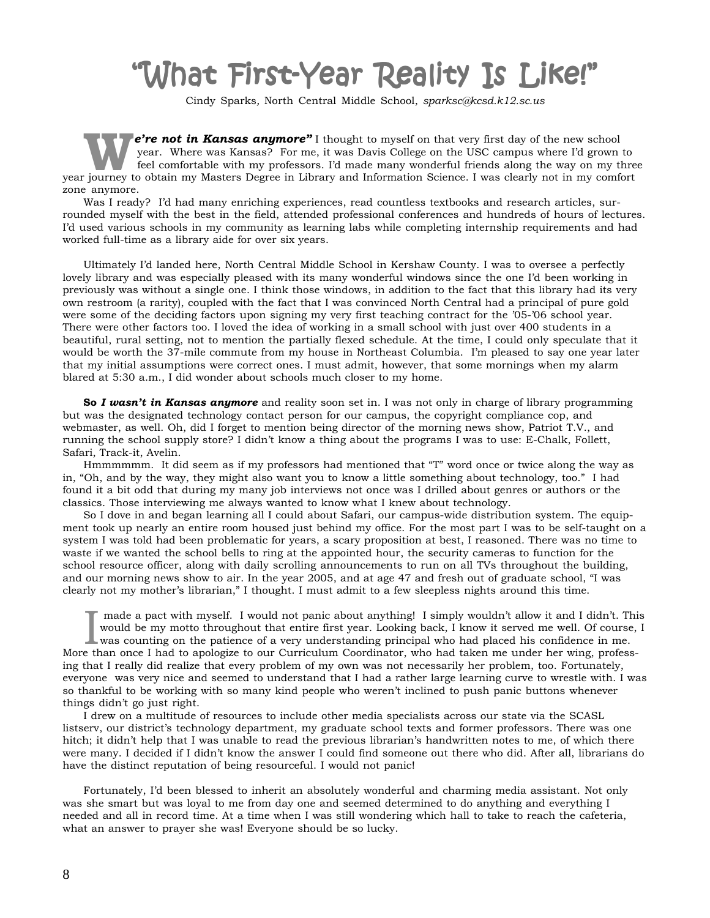# What First-Year Reality Is Like!"

Cindy Sparks*,* North Central Middle School, *sparksc@kcsd.k12.sc.us*

**e're not in Kansas anymore"** I thought to myself on that very first day of the new school year. Where was Kansas? For me, it was Davis College on the USC campus where I'd grown to feel comfortable with my professors. I'd made many wonderful friends along the way on my three year journey to obtain my Masters Degree in Library and Information Science. I was clearly not in my comfort zone anymore.

Was I ready? I'd had many enriching experiences, read countless textbooks and research articles, surrounded myself with the best in the field, attended professional conferences and hundreds of hours of lectures. I'd used various schools in my community as learning labs while completing internship requirements and had worked full-time as a library aide for over six years.

Ultimately I'd landed here, North Central Middle School in Kershaw County. I was to oversee a perfectly lovely library and was especially pleased with its many wonderful windows since the one I'd been working in previously was without a single one. I think those windows, in addition to the fact that this library had its very own restroom (a rarity), coupled with the fact that I was convinced North Central had a principal of pure gold were some of the deciding factors upon signing my very first teaching contract for the '05-'06 school year. There were other factors too. I loved the idea of working in a small school with just over 400 students in a beautiful, rural setting, not to mention the partially flexed schedule. At the time, I could only speculate that it would be worth the 37-mile commute from my house in Northeast Columbia. I'm pleased to say one year later that my initial assumptions were correct ones. I must admit, however, that some mornings when my alarm blared at 5:30 a.m., I did wonder about schools much closer to my home.

**So** *I wasn't in Kansas anymore* and reality soon set in. I was not only in charge of library programming but was the designated technology contact person for our campus, the copyright compliance cop, and webmaster, as well. Oh, did I forget to mention being director of the morning news show, Patriot T.V., and running the school supply store? I didn't know a thing about the programs I was to use: E-Chalk, Follett, Safari, Track-it, Avelin.

Hmmmmmm. It did seem as if my professors had mentioned that "T" word once or twice along the way as in, "Oh, and by the way, they might also want you to know a little something about technology, too." I had found it a bit odd that during my many job interviews not once was I drilled about genres or authors or the classics. Those interviewing me always wanted to know what I knew about technology.

So I dove in and began learning all I could about Safari, our campus-wide distribution system. The equipment took up nearly an entire room housed just behind my office. For the most part I was to be self-taught on a system I was told had been problematic for years, a scary proposition at best, I reasoned. There was no time to waste if we wanted the school bells to ring at the appointed hour, the security cameras to function for the school resource officer, along with daily scrolling announcements to run on all TVs throughout the building, and our morning news show to air. In the year 2005, and at age 47 and fresh out of graduate school, "I was clearly not my mother's librarian," I thought. I must admit to a few sleepless nights around this time.

I made a pact with myself. I would not panic about anything! I simply wouldn't allow it and I didn't. T<br>would be my motto throughout that entire first year. Looking back, I know it served me well. Of course<br>was counting on made a pact with myself. I would not panic about anything! I simply wouldn't allow it and I didn't. This would be my motto throughout that entire first year. Looking back, I know it served me well. Of course, I More than once I had to apologize to our Curriculum Coordinator, who had taken me under her wing, professing that I really did realize that every problem of my own was not necessarily her problem, too. Fortunately, everyone was very nice and seemed to understand that I had a rather large learning curve to wrestle with. I was so thankful to be working with so many kind people who weren't inclined to push panic buttons whenever things didn't go just right.

I drew on a multitude of resources to include other media specialists across our state via the SCASL listserv, our district's technology department, my graduate school texts and former professors. There was one hitch; it didn't help that I was unable to read the previous librarian's handwritten notes to me, of which there were many. I decided if I didn't know the answer I could find someone out there who did. After all, librarians do have the distinct reputation of being resourceful. I would not panic!

Fortunately, I'd been blessed to inherit an absolutely wonderful and charming media assistant. Not only was she smart but was loyal to me from day one and seemed determined to do anything and everything I needed and all in record time. At a time when I was still wondering which hall to take to reach the cafeteria, what an answer to prayer she was! Everyone should be so lucky.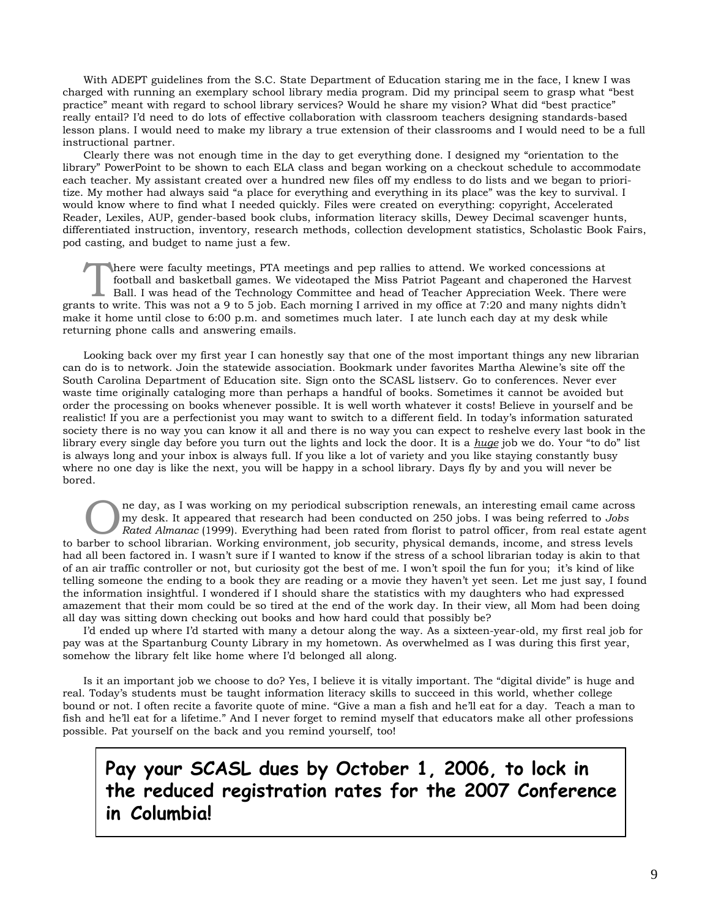With ADEPT guidelines from the S.C. State Department of Education staring me in the face, I knew I was charged with running an exemplary school library media program. Did my principal seem to grasp what "best practice" meant with regard to school library services? Would he share my vision? What did "best practice" really entail? I'd need to do lots of effective collaboration with classroom teachers designing standards-based lesson plans. I would need to make my library a true extension of their classrooms and I would need to be a full instructional partner.

Clearly there was not enough time in the day to get everything done. I designed my "orientation to the library" PowerPoint to be shown to each ELA class and began working on a checkout schedule to accommodate each teacher. My assistant created over a hundred new files off my endless to do lists and we began to prioritize. My mother had always said "a place for everything and everything in its place" was the key to survival. I would know where to find what I needed quickly. Files were created on everything: copyright, Accelerated Reader, Lexiles, AUP, gender-based book clubs, information literacy skills, Dewey Decimal scavenger hunts, differentiated instruction, inventory, research methods, collection development statistics, Scholastic Book Fairs, pod casting, and budget to name just a few.

There were faculty meetings, PTA meetings and pep rallies to attend. We worked concessions at<br>football and basketball games. We videotaped the Miss Patriot Pageant and chaperoned the Harves<br>Ball. I was head of the Technolo football and basketball games. We videotaped the Miss Patriot Pageant and chaperoned the Harvest grants to write. This was not a 9 to 5 job. Each morning I arrived in my office at 7:20 and many nights didn't make it home until close to 6:00 p.m. and sometimes much later. I ate lunch each day at my desk while returning phone calls and answering emails.

Looking back over my first year I can honestly say that one of the most important things any new librarian can do is to network. Join the statewide association. Bookmark under favorites Martha Alewine's site off the South Carolina Department of Education site. Sign onto the SCASL listserv. Go to conferences. Never ever waste time originally cataloging more than perhaps a handful of books. Sometimes it cannot be avoided but order the processing on books whenever possible. It is well worth whatever it costs! Believe in yourself and be realistic! If you are a perfectionist you may want to switch to a different field. In today's information saturated society there is no way you can know it all and there is no way you can expect to reshelve every last book in the library every single day before you turn out the lights and lock the door. It is a *huge* job we do. Your "to do" list is always long and your inbox is always full. If you like a lot of variety and you like staying constantly busy where no one day is like the next, you will be happy in a school library. Days fly by and you will never be bored.

ne day, as I was working on my periodical subscription renewals, an interesting email came across my desk. It appeared that research had been conducted on 250 jobs. I was being referred to *Jobs Rated Almanac* (1999). Everything had been rated from florist to patrol officer, from real estate agent to barber to school librarian. Working environment, job security, physical demands, income, and stress levels had all been factored in. I wasn't sure if I wanted to know if the stress of a school librarian today is akin to that of an air traffic controller or not, but curiosity got the best of me. I won't spoil the fun for you; it's kind of like telling someone the ending to a book they are reading or a movie they haven't yet seen. Let me just say, I found the information insightful. I wondered if I should share the statistics with my daughters who had expressed amazement that their mom could be so tired at the end of the work day. In their view, all Mom had been doing all day was sitting down checking out books and how hard could that possibly be?

I'd ended up where I'd started with many a detour along the way. As a sixteen-year-old, my first real job for pay was at the Spartanburg County Library in my hometown. As overwhelmed as I was during this first year, somehow the library felt like home where I'd belonged all along.

Is it an important job we choose to do? Yes, I believe it is vitally important. The "digital divide" is huge and real. Today's students must be taught information literacy skills to succeed in this world, whether college bound or not. I often recite a favorite quote of mine. "Give a man a fish and he'll eat for a day. Teach a man to fish and he'll eat for a lifetime." And I never forget to remind myself that educators make all other professions possible. Pat yourself on the back and you remind yourself, too!

### **Pay your SCASL dues by October 1, 2006, to lock in the reduced registration rates for the 2007 Conference in Columbia!**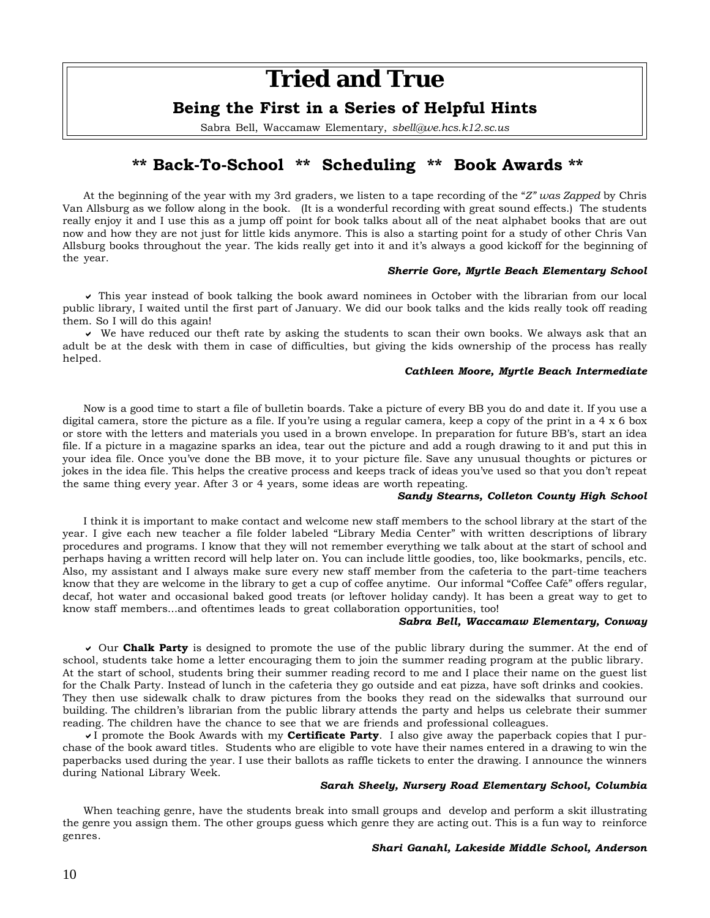### **Tried and True**

### **Being the First in a Series of Helpful Hints**

Sabra Bell, Waccamaw Elementary, *sbell@we.hcs.k12.sc.us*

### **\*\* Back-To-School \*\* Scheduling \*\* Book Awards \*\***

At the beginning of the year with my 3rd graders, we listen to a tape recording of the "*Z" was Zapped* by Chris Van Allsburg as we follow along in the book. (It is a wonderful recording with great sound effects.) The students really enjoy it and I use this as a jump off point for book talks about all of the neat alphabet books that are out now and how they are not just for little kids anymore. This is also a starting point for a study of other Chris Van Allsburg books throughout the year. The kids really get into it and it's always a good kickoff for the beginning of the year.

#### *Sherrie Gore, Myrtle Beach Elementary School*

 $\vee$  This year instead of book talking the book award nominees in October with the librarian from our local public library, I waited until the first part of January. We did our book talks and the kids really took off reading them. So I will do this again!

 $\vee$  We have reduced our theft rate by asking the students to scan their own books. We always ask that an adult be at the desk with them in case of difficulties, but giving the kids ownership of the process has really helped.

### *Cathleen Moore, Myrtle Beach Intermediate*

Now is a good time to start a file of bulletin boards. Take a picture of every BB you do and date it. If you use a digital camera, store the picture as a file. If you're using a regular camera, keep a copy of the print in a  $4 \times 6$  box or store with the letters and materials you used in a brown envelope. In preparation for future BB's, start an idea file. If a picture in a magazine sparks an idea, tear out the picture and add a rough drawing to it and put this in your idea file. Once you've done the BB move, it to your picture file. Save any unusual thoughts or pictures or jokes in the idea file. This helps the creative process and keeps track of ideas you've used so that you don't repeat the same thing every year. After 3 or 4 years, some ideas are worth repeating.

### *Sandy Stearns, Colleton County High School*

I think it is important to make contact and welcome new staff members to the school library at the start of the year. I give each new teacher a file folder labeled "Library Media Center" with written descriptions of library procedures and programs. I know that they will not remember everything we talk about at the start of school and perhaps having a written record will help later on. You can include little goodies, too, like bookmarks, pencils, etc. Also, my assistant and I always make sure every new staff member from the cafeteria to the part-time teachers know that they are welcome in the library to get a cup of coffee anytime. Our informal "Coffee Café" offers regular, decaf, hot water and occasional baked good treats (or leftover holiday candy). It has been a great way to get to know staff members...and oftentimes leads to great collaboration opportunities, too!

### *Sabra Bell, Waccamaw Elementary, Conway*

If Our **Chalk Party** is designed to promote the use of the public library during the summer. At the end of school, students take home a letter encouraging them to join the summer reading program at the public library. At the start of school, students bring their summer reading record to me and I place their name on the guest list for the Chalk Party. Instead of lunch in the cafeteria they go outside and eat pizza, have soft drinks and cookies. They then use sidewalk chalk to draw pictures from the books they read on the sidewalks that surround our building. The children's librarian from the public library attends the party and helps us celebrate their summer reading. The children have the chance to see that we are friends and professional colleagues.

I promote the Book Awards with my **Certificate Party**. I also give away the paperback copies that I purchase of the book award titles. Students who are eligible to vote have their names entered in a drawing to win the paperbacks used during the year. I use their ballots as raffle tickets to enter the drawing. I announce the winners during National Library Week.

#### *Sarah Sheely, Nursery Road Elementary School, Columbia*

When teaching genre, have the students break into small groups and develop and perform a skit illustrating the genre you assign them. The other groups guess which genre they are acting out. This is a fun way to reinforce genres.

### *Shari Ganahl, Lakeside Middle School, Anderson*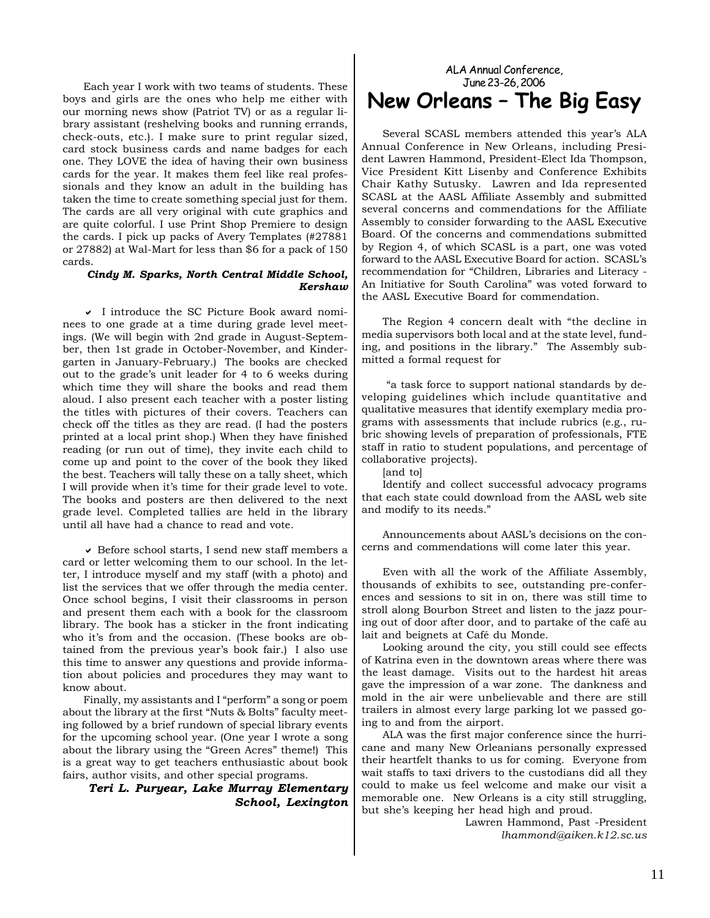Each year I work with two teams of students. These boys and girls are the ones who help me either with our morning news show (Patriot TV) or as a regular library assistant (reshelving books and running errands, check-outs, etc.). I make sure to print regular sized, card stock business cards and name badges for each one. They LOVE the idea of having their own business cards for the year. It makes them feel like real professionals and they know an adult in the building has taken the time to create something special just for them. The cards are all very original with cute graphics and are quite colorful. I use Print Shop Premiere to design the cards. I pick up packs of Avery Templates (#27881 or 27882) at Wal-Mart for less than \$6 for a pack of 150 cards.

### *Cindy M. Sparks, North Central Middle School, Kershaw*

 $\vee$  I introduce the SC Picture Book award nominees to one grade at a time during grade level meetings. (We will begin with 2nd grade in August-September, then 1st grade in October-November, and Kindergarten in January-February.) The books are checked out to the grade's unit leader for 4 to 6 weeks during which time they will share the books and read them aloud. I also present each teacher with a poster listing the titles with pictures of their covers. Teachers can check off the titles as they are read. (I had the posters printed at a local print shop.) When they have finished reading (or run out of time), they invite each child to come up and point to the cover of the book they liked the best. Teachers will tally these on a tally sheet, which I will provide when it's time for their grade level to vote. The books and posters are then delivered to the next grade level. Completed tallies are held in the library until all have had a chance to read and vote.

 $\checkmark$  Before school starts, I send new staff members a card or letter welcoming them to our school. In the letter, I introduce myself and my staff (with a photo) and list the services that we offer through the media center. Once school begins, I visit their classrooms in person and present them each with a book for the classroom library. The book has a sticker in the front indicating who it's from and the occasion. (These books are obtained from the previous year's book fair.) I also use this time to answer any questions and provide information about policies and procedures they may want to know about.

Finally, my assistants and I "perform" a song or poem about the library at the first "Nuts & Bolts" faculty meeting followed by a brief rundown of special library events for the upcoming school year. (One year I wrote a song about the library using the "Green Acres" theme!) This is a great way to get teachers enthusiastic about book fairs, author visits, and other special programs.

*Teri L. Puryear, Lake Murray Elementary School, Lexington*

### ALA Annual Conference, June 23-26, 2006 **New Orleans – The Big Easy**

Several SCASL members attended this year's ALA Annual Conference in New Orleans, including President Lawren Hammond, President-Elect Ida Thompson, Vice President Kitt Lisenby and Conference Exhibits Chair Kathy Sutusky. Lawren and Ida represented SCASL at the AASL Affiliate Assembly and submitted several concerns and commendations for the Affiliate Assembly to consider forwarding to the AASL Executive Board. Of the concerns and commendations submitted by Region 4, of which SCASL is a part, one was voted forward to the AASL Executive Board for action. SCASL's recommendation for "Children, Libraries and Literacy - An Initiative for South Carolina" was voted forward to the AASL Executive Board for commendation.

The Region 4 concern dealt with "the decline in media supervisors both local and at the state level, funding, and positions in the library." The Assembly submitted a formal request for

 "a task force to support national standards by developing guidelines which include quantitative and qualitative measures that identify exemplary media programs with assessments that include rubrics (e.g., rubric showing levels of preparation of professionals, FTE staff in ratio to student populations, and percentage of collaborative projects).

[and to]

Identify and collect successful advocacy programs that each state could download from the AASL web site and modify to its needs."

Announcements about AASL's decisions on the concerns and commendations will come later this year.

Even with all the work of the Affiliate Assembly, thousands of exhibits to see, outstanding pre-conferences and sessions to sit in on, there was still time to stroll along Bourbon Street and listen to the jazz pouring out of door after door, and to partake of the café au lait and beignets at Café du Monde.

Looking around the city, you still could see effects of Katrina even in the downtown areas where there was the least damage. Visits out to the hardest hit areas gave the impression of a war zone. The dankness and mold in the air were unbelievable and there are still trailers in almost every large parking lot we passed going to and from the airport.

ALA was the first major conference since the hurricane and many New Orleanians personally expressed their heartfelt thanks to us for coming. Everyone from wait staffs to taxi drivers to the custodians did all they could to make us feel welcome and make our visit a memorable one. New Orleans is a city still struggling, but she's keeping her head high and proud.

> Lawren Hammond, Past -President *lhammond@aiken.k12.sc.us*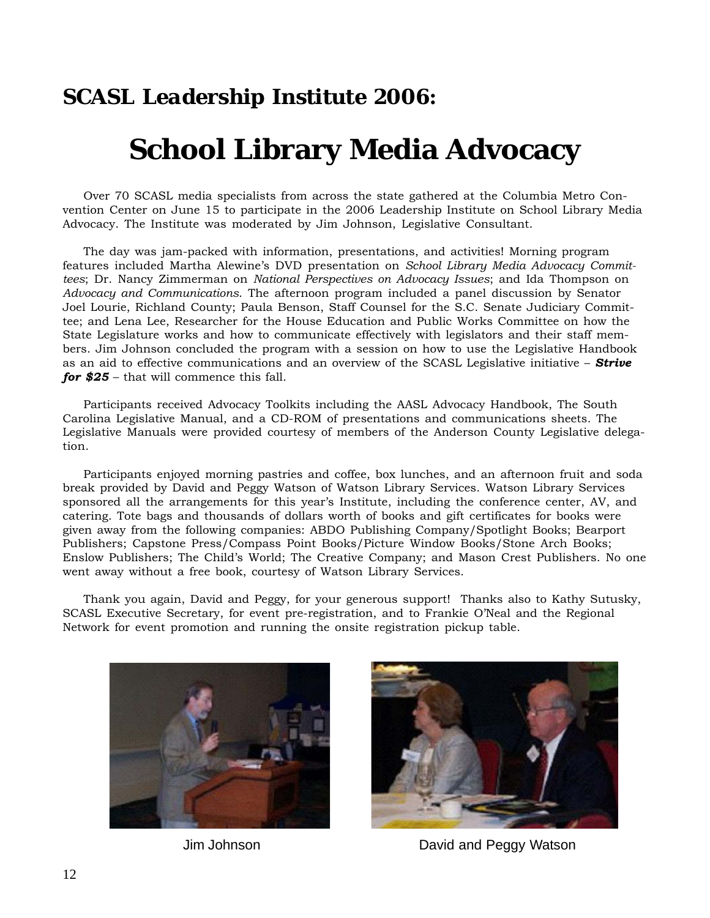### *SCASL Leadership Institute 2006:*

# **School Library Media Advocacy**

Over 70 SCASL media specialists from across the state gathered at the Columbia Metro Convention Center on June 15 to participate in the 2006 Leadership Institute on School Library Media Advocacy. The Institute was moderated by Jim Johnson, Legislative Consultant.

The day was jam-packed with information, presentations, and activities! Morning program features included Martha Alewine's DVD presentation on *School Library Media Advocacy Committees*; Dr. Nancy Zimmerman on *National Perspectives on Advocacy Issues*; and Ida Thompson on *Advocacy and Communications*. The afternoon program included a panel discussion by Senator Joel Lourie, Richland County; Paula Benson, Staff Counsel for the S.C. Senate Judiciary Committee; and Lena Lee, Researcher for the House Education and Public Works Committee on how the State Legislature works and how to communicate effectively with legislators and their staff members. Jim Johnson concluded the program with a session on how to use the Legislative Handbook as an aid to effective communications and an overview of the SCASL Legislative initiative – *Strive for \$25* – that will commence this fall.

Participants received Advocacy Toolkits including the AASL Advocacy Handbook, The South Carolina Legislative Manual, and a CD-ROM of presentations and communications sheets. The Legislative Manuals were provided courtesy of members of the Anderson County Legislative delegation.

Participants enjoyed morning pastries and coffee, box lunches, and an afternoon fruit and soda break provided by David and Peggy Watson of Watson Library Services. Watson Library Services sponsored all the arrangements for this year's Institute, including the conference center, AV, and catering. Tote bags and thousands of dollars worth of books and gift certificates for books were given away from the following companies: ABDO Publishing Company/Spotlight Books; Bearport Publishers; Capstone Press/Compass Point Books/Picture Window Books/Stone Arch Books; Enslow Publishers; The Child's World; The Creative Company; and Mason Crest Publishers. No one went away without a free book, courtesy of Watson Library Services.

Thank you again, David and Peggy, for your generous support! Thanks also to Kathy Sutusky, SCASL Executive Secretary, for event pre-registration, and to Frankie O'Neal and the Regional Network for event promotion and running the onsite registration pickup table.





Jim Johnson David and Peggy Watson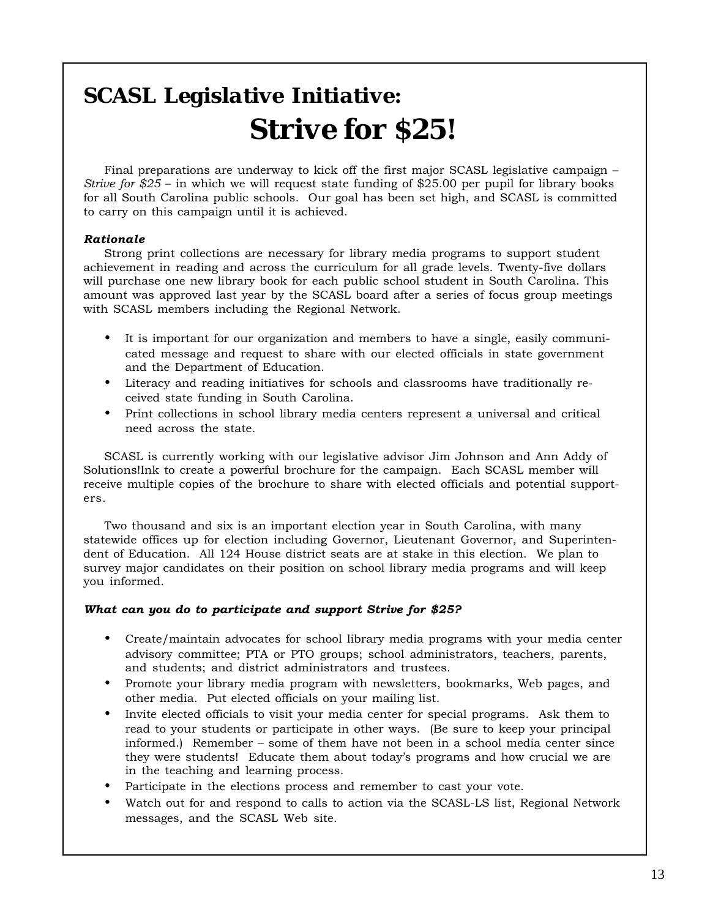# *SCASL Legislative Initiative: Strive for \$25!*

Final preparations are underway to kick off the first major SCASL legislative campaign – *Strive for \$25* – in which we will request state funding of \$25.00 per pupil for library books for all South Carolina public schools. Our goal has been set high, and SCASL is committed to carry on this campaign until it is achieved.

### *Rationale*

Strong print collections are necessary for library media programs to support student achievement in reading and across the curriculum for all grade levels. Twenty-five dollars will purchase one new library book for each public school student in South Carolina. This amount was approved last year by the SCASL board after a series of focus group meetings with SCASL members including the Regional Network.

- It is important for our organization and members to have a single, easily communicated message and request to share with our elected officials in state government and the Department of Education.
- Literacy and reading initiatives for schools and classrooms have traditionally received state funding in South Carolina.
- Print collections in school library media centers represent a universal and critical need across the state.

SCASL is currently working with our legislative advisor Jim Johnson and Ann Addy of Solutions!Ink to create a powerful brochure for the campaign. Each SCASL member will receive multiple copies of the brochure to share with elected officials and potential supporters.

Two thousand and six is an important election year in South Carolina, with many statewide offices up for election including Governor, Lieutenant Governor, and Superintendent of Education. All 124 House district seats are at stake in this election. We plan to survey major candidates on their position on school library media programs and will keep you informed.

### *What can you do to participate and support Strive for \$25?*

- Create/maintain advocates for school library media programs with your media center advisory committee; PTA or PTO groups; school administrators, teachers, parents, and students; and district administrators and trustees.
- Promote your library media program with newsletters, bookmarks, Web pages, and other media. Put elected officials on your mailing list.
- Invite elected officials to visit your media center for special programs. Ask them to read to your students or participate in other ways. (Be sure to keep your principal informed.) Remember – some of them have not been in a school media center since they were students! Educate them about today's programs and how crucial we are in the teaching and learning process.
- Participate in the elections process and remember to cast your vote.
- Watch out for and respond to calls to action via the SCASL-LS list, Regional Network messages, and the SCASL Web site.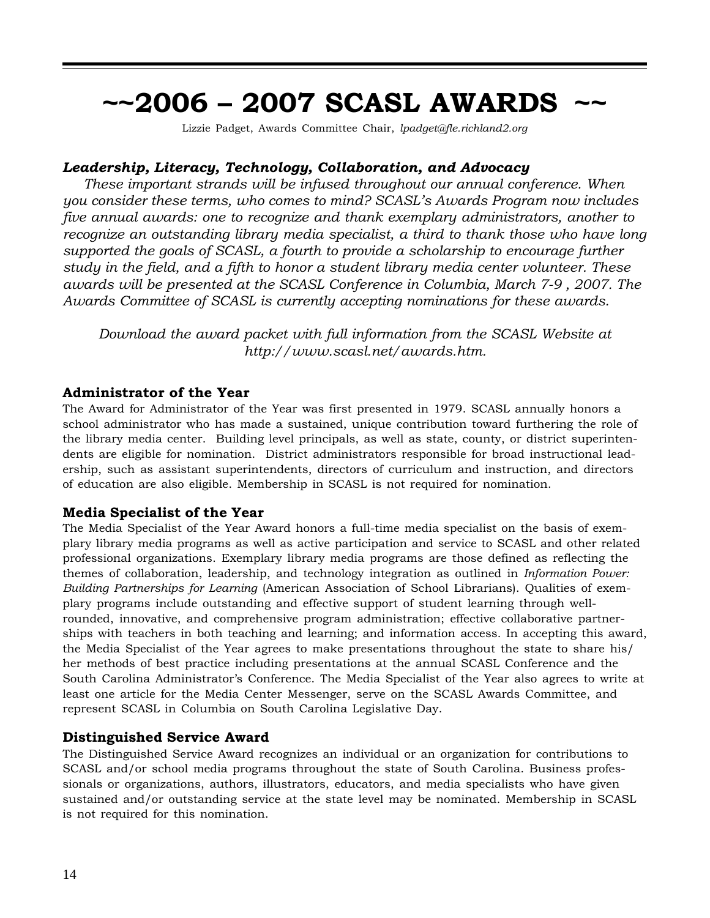# **~~2006 – 2007 SCASL AWARDS ~~**

Lizzie Padget, Awards Committee Chair, *lpadget@fle.richland2.org*

### *Leadership, Literacy, Technology, Collaboration, and Advocacy*

*These important strands will be infused throughout our annual conference. When you consider these terms, who comes to mind? SCASL's Awards Program now includes five annual awards: one to recognize and thank exemplary administrators, another to recognize an outstanding library media specialist, a third to thank those who have long supported the goals of SCASL, a fourth to provide a scholarship to encourage further study in the field, and a fifth to honor a student library media center volunteer. These awards will be presented at the SCASL Conference in Columbia, March 7-9 , 2007. The Awards Committee of SCASL is currently accepting nominations for these awards.*

*Download the award packet with full information from the SCASL Website at http://www.scasl.net/awards.htm.*

### **Administrator of the Year**

The Award for Administrator of the Year was first presented in 1979. SCASL annually honors a school administrator who has made a sustained, unique contribution toward furthering the role of the library media center. Building level principals, as well as state, county, or district superintendents are eligible for nomination. District administrators responsible for broad instructional leadership, such as assistant superintendents, directors of curriculum and instruction, and directors of education are also eligible. Membership in SCASL is not required for nomination.

### **Media Specialist of the Year**

The Media Specialist of the Year Award honors a full-time media specialist on the basis of exemplary library media programs as well as active participation and service to SCASL and other related professional organizations. Exemplary library media programs are those defined as reflecting the themes of collaboration, leadership, and technology integration as outlined in *Information Power: Building Partnerships for Learning* (American Association of School Librarians). Qualities of exemplary programs include outstanding and effective support of student learning through wellrounded, innovative, and comprehensive program administration; effective collaborative partnerships with teachers in both teaching and learning; and information access. In accepting this award, the Media Specialist of the Year agrees to make presentations throughout the state to share his/ her methods of best practice including presentations at the annual SCASL Conference and the South Carolina Administrator's Conference. The Media Specialist of the Year also agrees to write at least one article for the Media Center Messenger, serve on the SCASL Awards Committee, and represent SCASL in Columbia on South Carolina Legislative Day.

### **Distinguished Service Award**

The Distinguished Service Award recognizes an individual or an organization for contributions to SCASL and/or school media programs throughout the state of South Carolina. Business professionals or organizations, authors, illustrators, educators, and media specialists who have given sustained and/or outstanding service at the state level may be nominated. Membership in SCASL is not required for this nomination.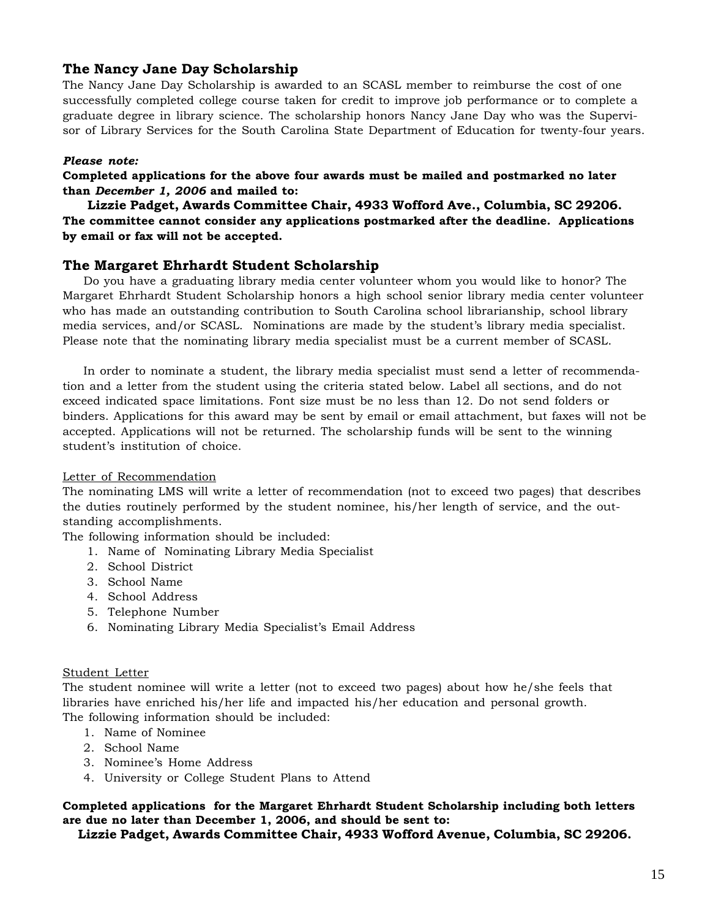### **The Nancy Jane Day Scholarship**

The Nancy Jane Day Scholarship is awarded to an SCASL member to reimburse the cost of one successfully completed college course taken for credit to improve job performance or to complete a graduate degree in library science. The scholarship honors Nancy Jane Day who was the Supervisor of Library Services for the South Carolina State Department of Education for twenty-four years.

### *Please note:*

**Completed applications for the above four awards must be mailed and postmarked no later than** *December 1, 2006* **and mailed to:**

**Lizzie Padget, Awards Committee Chair, 4933 Wofford Ave., Columbia, SC 29206. The committee cannot consider any applications postmarked after the deadline. Applications by email or fax will not be accepted.**

### **The Margaret Ehrhardt Student Scholarship**

Do you have a graduating library media center volunteer whom you would like to honor? The Margaret Ehrhardt Student Scholarship honors a high school senior library media center volunteer who has made an outstanding contribution to South Carolina school librarianship, school library media services, and/or SCASL. Nominations are made by the student's library media specialist. Please note that the nominating library media specialist must be a current member of SCASL.

In order to nominate a student, the library media specialist must send a letter of recommendation and a letter from the student using the criteria stated below. Label all sections, and do not exceed indicated space limitations. Font size must be no less than 12. Do not send folders or binders. Applications for this award may be sent by email or email attachment, but faxes will not be accepted. Applications will not be returned. The scholarship funds will be sent to the winning student's institution of choice.

### Letter of Recommendation

The nominating LMS will write a letter of recommendation (not to exceed two pages) that describes the duties routinely performed by the student nominee, his/her length of service, and the outstanding accomplishments.

The following information should be included:

- 1. Name of Nominating Library Media Specialist
- 2. School District
- 3. School Name
- 4. School Address
- 5. Telephone Number
- 6. Nominating Library Media Specialist's Email Address

### Student Letter

The student nominee will write a letter (not to exceed two pages) about how he/she feels that libraries have enriched his/her life and impacted his/her education and personal growth. The following information should be included:

- 1. Name of Nominee
- 2. School Name
- 3. Nominee's Home Address
- 4. University or College Student Plans to Attend

### **Completed applications for the Margaret Ehrhardt Student Scholarship including both letters are due no later than December 1, 2006, and should be sent to:**

**Lizzie Padget, Awards Committee Chair, 4933 Wofford Avenue, Columbia, SC 29206.**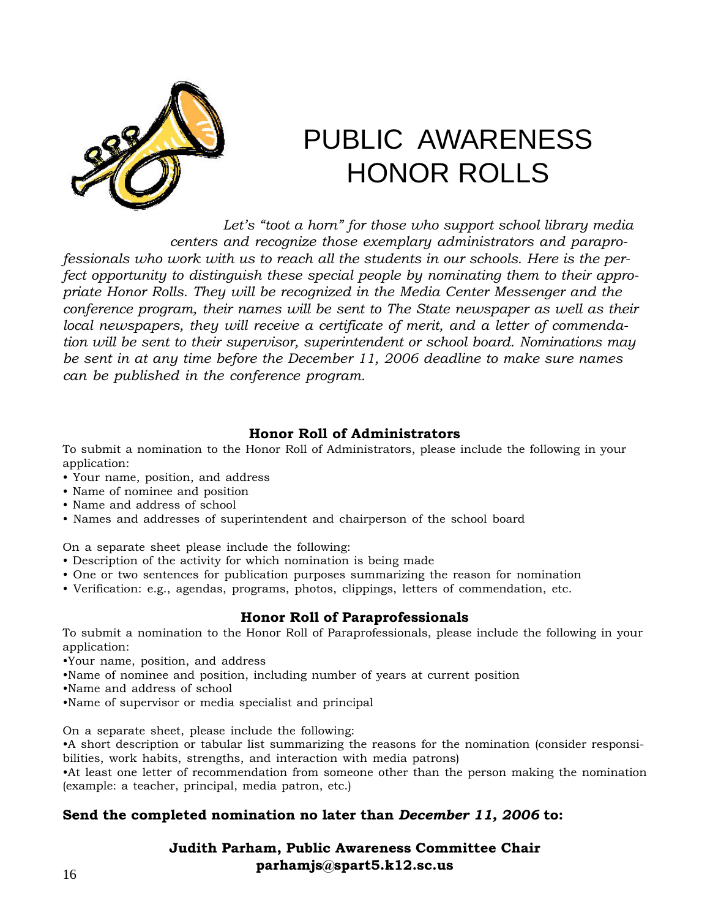

# PUBLIC AWARENESS HONOR ROLLS

 *Let's "toot a horn" for those who support school library media centers and recognize those exemplary administrators and paraprofessionals who work with us to reach all the students in our schools. Here is the perfect opportunity to distinguish these special people by nominating them to their appropriate Honor Rolls. They will be recognized in the Media Center Messenger and the conference program, their names will be sent to The State newspaper as well as their local newspapers, they will receive a certificate of merit, and a letter of commendation will be sent to their supervisor, superintendent or school board. Nominations may be sent in at any time before the December 11, 2006 deadline to make sure names can be published in the conference program.*

### **Honor Roll of Administrators**

To submit a nomination to the Honor Roll of Administrators, please include the following in your application:

- Your name, position, and address
- Name of nominee and position
- Name and address of school
- Names and addresses of superintendent and chairperson of the school board

On a separate sheet please include the following:

- Description of the activity for which nomination is being made
- One or two sentences for publication purposes summarizing the reason for nomination
- Verification: e.g., agendas, programs, photos, clippings, letters of commendation, etc.

### **Honor Roll of Paraprofessionals**

To submit a nomination to the Honor Roll of Paraprofessionals, please include the following in your application:

- •Your name, position, and address
- •Name of nominee and position, including number of years at current position
- •Name and address of school
- •Name of supervisor or media specialist and principal

On a separate sheet, please include the following:

•A short description or tabular list summarizing the reasons for the nomination (consider responsibilities, work habits, strengths, and interaction with media patrons)

•At least one letter of recommendation from someone other than the person making the nomination (example: a teacher, principal, media patron, etc.)

### **Send the completed nomination no later than** *December 11, 2006* **to:**

**Judith Parham, Public Awareness Committee Chair parhamjs@spart5.k12.sc.us**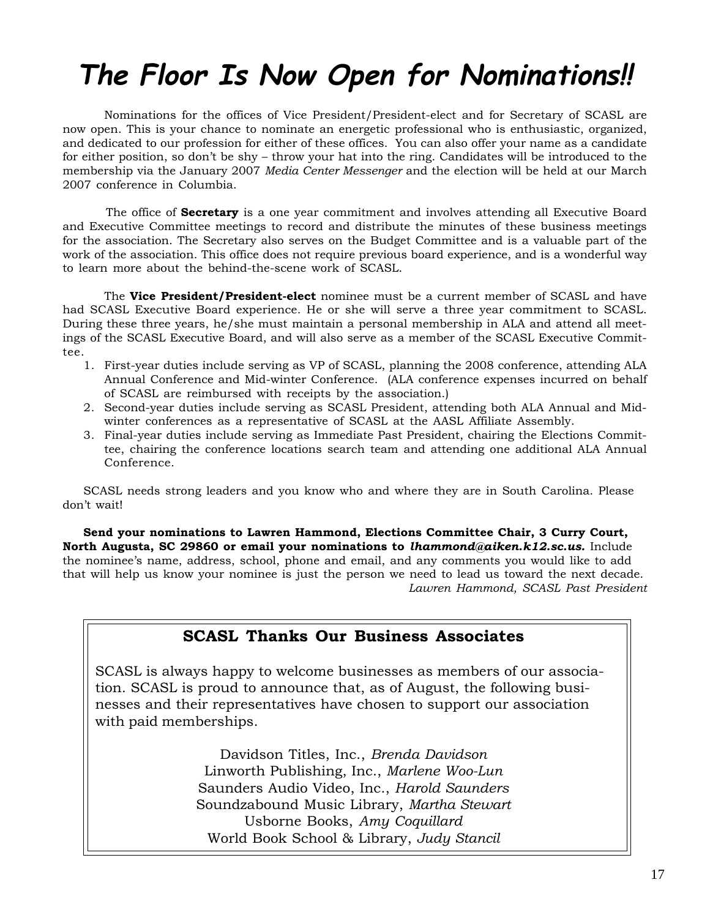# **The Floor Is Now Open for Nominations!!**

Nominations for the offices of Vice President/President-elect and for Secretary of SCASL are now open. This is your chance to nominate an energetic professional who is enthusiastic, organized, and dedicated to our profession for either of these offices. You can also offer your name as a candidate for either position, so don't be shy – throw your hat into the ring. Candidates will be introduced to the membership via the January 2007 *Media Center Messenger* and the election will be held at our March 2007 conference in Columbia.

The office of **Secretary** is a one year commitment and involves attending all Executive Board and Executive Committee meetings to record and distribute the minutes of these business meetings for the association. The Secretary also serves on the Budget Committee and is a valuable part of the work of the association. This office does not require previous board experience, and is a wonderful way to learn more about the behind-the-scene work of SCASL.

The **Vice President/President-elect** nominee must be a current member of SCASL and have had SCASL Executive Board experience. He or she will serve a three year commitment to SCASL. During these three years, he/she must maintain a personal membership in ALA and attend all meetings of the SCASL Executive Board, and will also serve as a member of the SCASL Executive Committee.

- 1. First-year duties include serving as VP of SCASL, planning the 2008 conference, attending ALA Annual Conference and Mid-winter Conference. (ALA conference expenses incurred on behalf of SCASL are reimbursed with receipts by the association.)
- 2. Second-year duties include serving as SCASL President, attending both ALA Annual and Midwinter conferences as a representative of SCASL at the AASL Affiliate Assembly.
- 3. Final-year duties include serving as Immediate Past President, chairing the Elections Committee, chairing the conference locations search team and attending one additional ALA Annual Conference.

SCASL needs strong leaders and you know who and where they are in South Carolina. Please don't wait!

**Send your nominations to Lawren Hammond, Elections Committee Chair, 3 Curry Court, North Augusta, SC 29860 or email your nominations to** *lhammond@aiken.k12.sc.us.* Include the nominee's name, address, school, phone and email, and any comments you would like to add that will help us know your nominee is just the person we need to lead us toward the next decade. *Lawren Hammond, SCASL Past President*

### **SCASL Thanks Our Business Associates**

SCASL is always happy to welcome businesses as members of our association. SCASL is proud to announce that, as of August, the following businesses and their representatives have chosen to support our association with paid memberships.

> Davidson Titles, Inc., *Brenda Davidson* Linworth Publishing, Inc., *Marlene Woo-Lun* Saunders Audio Video, Inc., *Harold Saunders* Soundzabound Music Library, *Martha Stewart* Usborne Books, *Amy Coquillard* World Book School & Library, *Judy Stancil*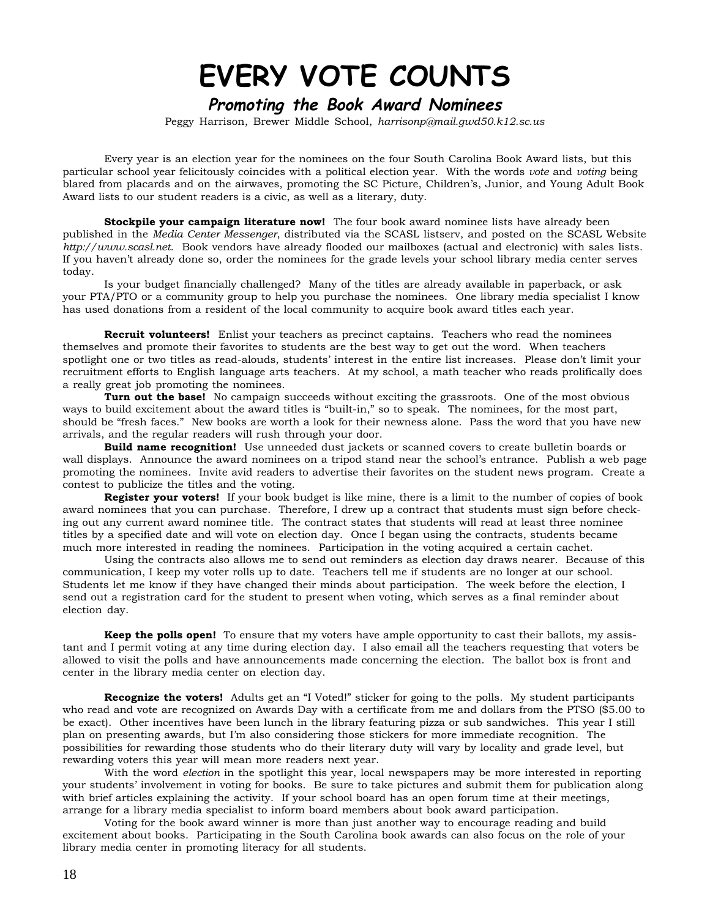# **EVERY VOTE COUNTS**

### **Promoting the Book Award Nominees**

Peggy Harrison, Brewer Middle School, *harrisonp@mail.gwd50.k12.sc.us*

Every year is an election year for the nominees on the four South Carolina Book Award lists, but this particular school year felicitously coincides with a political election year. With the words *vote* and *voting* being blared from placards and on the airwaves, promoting the SC Picture, Children's, Junior, and Young Adult Book Award lists to our student readers is a civic, as well as a literary, duty.

**Stockpile your campaign literature now!** The four book award nominee lists have already been published in the *Media Center Messenger*, distributed via the SCASL listserv, and posted on the SCASL Website *http://www.scasl.net*. Book vendors have already flooded our mailboxes (actual and electronic) with sales lists. If you haven't already done so, order the nominees for the grade levels your school library media center serves today.

Is your budget financially challenged? Many of the titles are already available in paperback, or ask your PTA/PTO or a community group to help you purchase the nominees. One library media specialist I know has used donations from a resident of the local community to acquire book award titles each year.

**Recruit volunteers!** Enlist your teachers as precinct captains. Teachers who read the nominees themselves and promote their favorites to students are the best way to get out the word. When teachers spotlight one or two titles as read-alouds, students' interest in the entire list increases. Please don't limit your recruitment efforts to English language arts teachers. At my school, a math teacher who reads prolifically does a really great job promoting the nominees.

**Turn out the base!** No campaign succeeds without exciting the grassroots. One of the most obvious ways to build excitement about the award titles is "built-in," so to speak. The nominees, for the most part, should be "fresh faces." New books are worth a look for their newness alone. Pass the word that you have new arrivals, and the regular readers will rush through your door.

**Build name recognition!** Use unneeded dust jackets or scanned covers to create bulletin boards or wall displays. Announce the award nominees on a tripod stand near the school's entrance. Publish a web page promoting the nominees. Invite avid readers to advertise their favorites on the student news program. Create a contest to publicize the titles and the voting.

**Register your voters!** If your book budget is like mine, there is a limit to the number of copies of book award nominees that you can purchase. Therefore, I drew up a contract that students must sign before checking out any current award nominee title. The contract states that students will read at least three nominee titles by a specified date and will vote on election day. Once I began using the contracts, students became much more interested in reading the nominees. Participation in the voting acquired a certain cachet.

Using the contracts also allows me to send out reminders as election day draws nearer. Because of this communication, I keep my voter rolls up to date. Teachers tell me if students are no longer at our school. Students let me know if they have changed their minds about participation. The week before the election, I send out a registration card for the student to present when voting, which serves as a final reminder about election day.

**Keep the polls open!** To ensure that my voters have ample opportunity to cast their ballots, my assistant and I permit voting at any time during election day. I also email all the teachers requesting that voters be allowed to visit the polls and have announcements made concerning the election. The ballot box is front and center in the library media center on election day.

**Recognize the voters!** Adults get an "I Voted!" sticker for going to the polls. My student participants who read and vote are recognized on Awards Day with a certificate from me and dollars from the PTSO (\$5.00 to be exact). Other incentives have been lunch in the library featuring pizza or sub sandwiches. This year I still plan on presenting awards, but I'm also considering those stickers for more immediate recognition. The possibilities for rewarding those students who do their literary duty will vary by locality and grade level, but rewarding voters this year will mean more readers next year.

With the word *election* in the spotlight this year, local newspapers may be more interested in reporting your students' involvement in voting for books. Be sure to take pictures and submit them for publication along with brief articles explaining the activity. If your school board has an open forum time at their meetings, arrange for a library media specialist to inform board members about book award participation.

Voting for the book award winner is more than just another way to encourage reading and build excitement about books. Participating in the South Carolina book awards can also focus on the role of your library media center in promoting literacy for all students.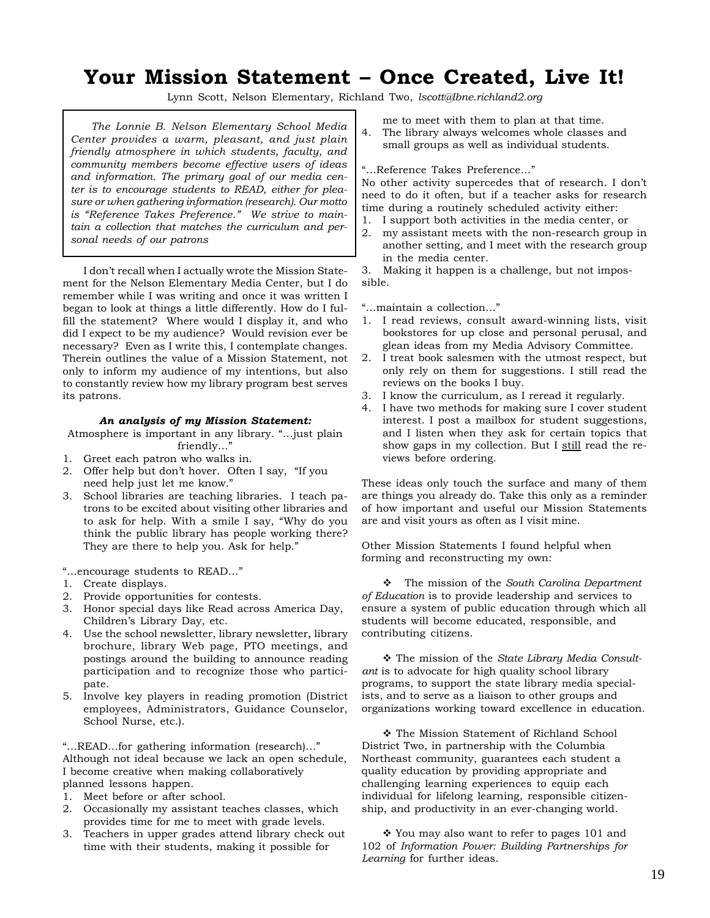### **Your Mission Statement – Once Created, Live It!**

Lynn Scott, Nelson Elementary, Richland Two, *lscott@lbne.richland2.org*

*The Lonnie B. Nelson Elementary School Media Center provides a warm, pleasant, and just plain friendly atmosphere in which students, faculty, and community members become effective users of ideas and information. The primary goal of our media center is to encourage students to READ, either for pleasure or when gathering information (research). Our motto is "Reference Takes Preference." We strive to maintain a collection that matches the curriculum and personal needs of our patrons*

I don't recall when I actually wrote the Mission Statement for the Nelson Elementary Media Center, but I do remember while I was writing and once it was written I began to look at things a little differently. How do I fulfill the statement? Where would I display it, and who did I expect to be my audience? Would revision ever be necessary? Even as I write this, I contemplate changes. Therein outlines the value of a Mission Statement, not only to inform my audience of my intentions, but also to constantly review how my library program best serves its patrons.

#### *An analysis of my Mission Statement:*

Atmosphere is important in any library. "…just plain friendly...'

- 1. Greet each patron who walks in.
- 2. Offer help but don't hover. Often I say, "If you need help just let me know."
- 3. School libraries are teaching libraries. I teach patrons to be excited about visiting other libraries and to ask for help. With a smile I say, "Why do you think the public library has people working there? They are there to help you. Ask for help."

"…encourage students to READ…"

- 1. Create displays.
- 2. Provide opportunities for contests.
- 3. Honor special days like Read across America Day, Children's Library Day, etc.
- 4. Use the school newsletter, library newsletter, library brochure, library Web page, PTO meetings, and postings around the building to announce reading participation and to recognize those who participate.
- 5. Involve key players in reading promotion (District employees, Administrators, Guidance Counselor, School Nurse, etc.).

"…READ…for gathering information (research)…"

Although not ideal because we lack an open schedule, I become creative when making collaboratively planned lessons happen.

- 1. Meet before or after school.
- 2. Occasionally my assistant teaches classes, which provides time for me to meet with grade levels.
- 3. Teachers in upper grades attend library check out time with their students, making it possible for

me to meet with them to plan at that time.

4. The library always welcomes whole classes and small groups as well as individual students.

#### "…Reference Takes Preference…"

No other activity supercedes that of research. I don't need to do it often, but if a teacher asks for research time during a routinely scheduled activity either:

- 1. I support both activities in the media center, or
- 2. my assistant meets with the non-research group in another setting, and I meet with the research group in the media center.

3. Making it happen is a challenge, but not impossible.

"…maintain a collection…"

- 1. I read reviews, consult award-winning lists, visit bookstores for up close and personal perusal, and glean ideas from my Media Advisory Committee.
- 2. I treat book salesmen with the utmost respect, but only rely on them for suggestions. I still read the reviews on the books I buy.
- 3. I know the curriculum, as I reread it regularly.
- 4. I have two methods for making sure I cover student interest. I post a mailbox for student suggestions, and I listen when they ask for certain topics that show gaps in my collection. But I still read the reviews before ordering.

These ideas only touch the surface and many of them are things you already do. Take this only as a reminder of how important and useful our Mission Statements are and visit yours as often as I visit mine.

Other Mission Statements I found helpful when forming and reconstructing my own:

 The mission of the *South Carolina Department of Education* is to provide leadership and services to ensure a system of public education through which all students will become educated, responsible, and contributing citizens.

 The mission of the *State Library Media Consultant* is to advocate for high quality school library programs, to support the state library media specialists, and to serve as a liaison to other groups and organizations working toward excellence in education.

 The Mission Statement of Richland School District Two, in partnership with the Columbia Northeast community, guarantees each student a quality education by providing appropriate and challenging learning experiences to equip each individual for lifelong learning, responsible citizenship, and productivity in an ever-changing world.

\* You may also want to refer to pages 101 and 102 of *Information Power: Building Partnerships for Learning* for further ideas.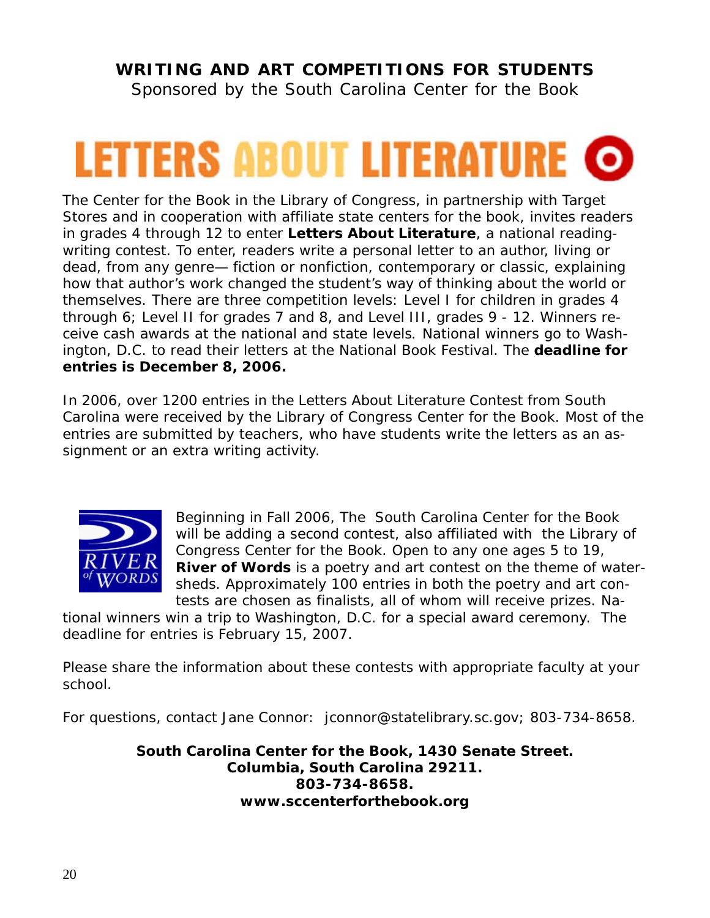### **WRITING AND ART COMPETITIONS FOR STUDENTS**

Sponsored by the South Carolina Center for the Book

# **LETTERS ABOUT LITERATURE ©**

The Center for the Book in the Library of Congress, in partnership with Target Stores and in cooperation with affiliate state centers for the book, invites readers in grades 4 through 12 to enter *Letters About Literature*, a national readingwriting contest. To enter, readers write a personal letter to an author, living or dead, from any genre— fiction or nonfiction, contemporary or classic, explaining how that author's work changed the student's way of thinking about the world or themselves. There are three competition levels: Level I for children in grades 4 through 6; Level II for grades 7 and 8, and Level III, grades 9 - 12. Winners receive cash awards at the national and state levels. National winners go to Washington, D.C. to read their letters at the National Book Festival. The **deadline for entries is December 8, 2006.**

In 2006, over 1200 entries in the Letters About Literature Contest from South Carolina were received by the Library of Congress Center for the Book. Most of the entries are submitted by teachers, who have students write the letters as an assignment or an extra writing activity.



Beginning in Fall 2006, The South Carolina Center for the Book will be adding a second contest, also affiliated with the Library of Congress Center for the Book. Open to any one ages 5 to 19, *River of Words* is a poetry and art contest on the theme of watersheds*.* Approximately 100 entries in both the poetry and art contests are chosen as finalists, all of whom will receive prizes. Na-

tional winners win a trip to Washington, D.C. for a special award ceremony. The deadline for entries is February 15, 2007.

Please share the information about these contests with appropriate faculty at your school.

For questions, contact Jane Connor: jconnor@statelibrary.sc.gov; 803-734-8658.

*South Carolina Center for the Book, 1430 Senate Street. Columbia, South Carolina 29211. 803-734-8658. www.sccenterforthebook.org*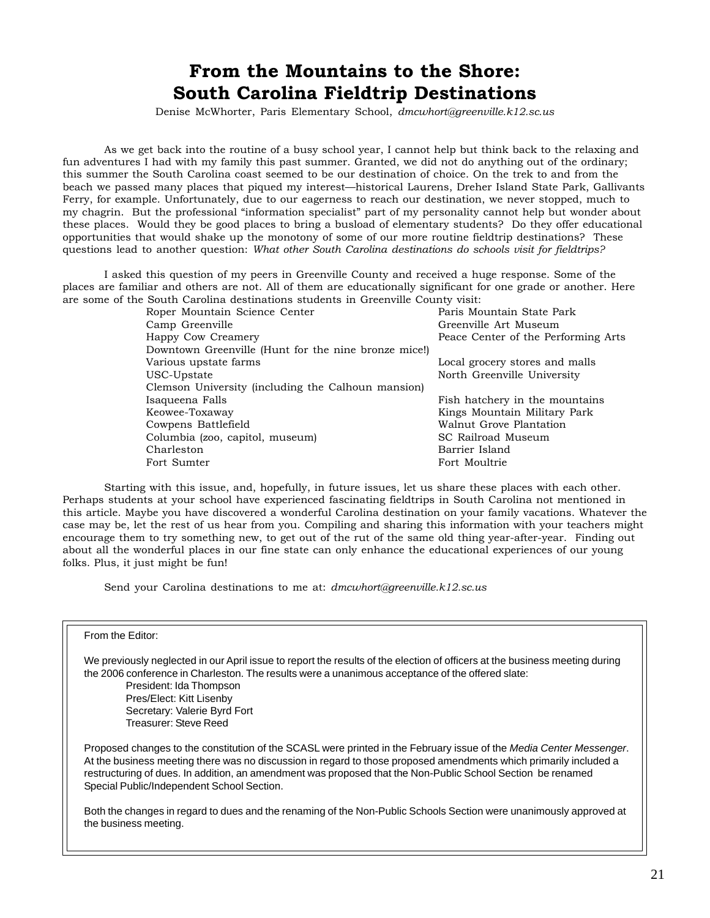### **From the Mountains to the Shore: South Carolina Fieldtrip Destinations**

Denise McWhorter, Paris Elementary School, *dmcwhort@greenville.k12.sc.us*

As we get back into the routine of a busy school year, I cannot help but think back to the relaxing and fun adventures I had with my family this past summer. Granted, we did not do anything out of the ordinary; this summer the South Carolina coast seemed to be our destination of choice. On the trek to and from the beach we passed many places that piqued my interest—historical Laurens, Dreher Island State Park, Gallivants Ferry, for example. Unfortunately, due to our eagerness to reach our destination, we never stopped, much to my chagrin. But the professional "information specialist" part of my personality cannot help but wonder about these places. Would they be good places to bring a busload of elementary students? Do they offer educational opportunities that would shake up the monotony of some of our more routine fieldtrip destinations? These questions lead to another question: *What other South Carolina destinations do schools visit for fieldtrips?*

I asked this question of my peers in Greenville County and received a huge response. Some of the places are familiar and others are not. All of them are educationally significant for one grade or another. Here are some of the South Carolina destinations students in Greenville County visit:

| souin carolina acomianono studento in circentific county visit. |                                     |
|-----------------------------------------------------------------|-------------------------------------|
| Roper Mountain Science Center                                   | Paris Mountain State Park           |
| Camp Greenville                                                 | Greenville Art Museum               |
| Happy Cow Creamery                                              | Peace Center of the Performing Arts |
| Downtown Greenville (Hunt for the nine bronze mice!)            |                                     |
| Various upstate farms                                           | Local grocery stores and malls      |
| USC-Upstate                                                     | North Greenville University         |
| Clemson University (including the Calhoun mansion)              |                                     |
| Isaqueena Falls                                                 | Fish hatchery in the mountains      |
| Keowee-Toxaway                                                  | Kings Mountain Military Park        |
| Cowpens Battlefield                                             | Walnut Grove Plantation             |
| Columbia (zoo, capitol, museum)                                 | SC Railroad Museum                  |
| Charleston                                                      | Barrier Island                      |
| Fort Sumter                                                     | Fort Moultrie                       |
|                                                                 |                                     |

Starting with this issue, and, hopefully, in future issues, let us share these places with each other. Perhaps students at your school have experienced fascinating fieldtrips in South Carolina not mentioned in this article. Maybe you have discovered a wonderful Carolina destination on your family vacations. Whatever the case may be, let the rest of us hear from you. Compiling and sharing this information with your teachers might encourage them to try something new, to get out of the rut of the same old thing year-after-year. Finding out about all the wonderful places in our fine state can only enhance the educational experiences of our young folks. Plus, it just might be fun!

Send your Carolina destinations to me at: *dmcwhort@greenville.k12.sc.us*

### From the Editor:

We previously neglected in our April issue to report the results of the election of officers at the business meeting during the 2006 conference in Charleston. The results were a unanimous acceptance of the offered slate:

President: Ida Thompson Pres/Elect: Kitt Lisenby Secretary: Valerie Byrd Fort Treasurer: Steve Reed

Proposed changes to the constitution of the SCASL were printed in the February issue of the *Media Center Messenger*. At the business meeting there was no discussion in regard to those proposed amendments which primarily included a restructuring of dues. In addition, an amendment was proposed that the Non-Public School Section be renamed Special Public/Independent School Section.

Both the changes in regard to dues and the renaming of the Non-Public Schools Section were unanimously approved at the business meeting.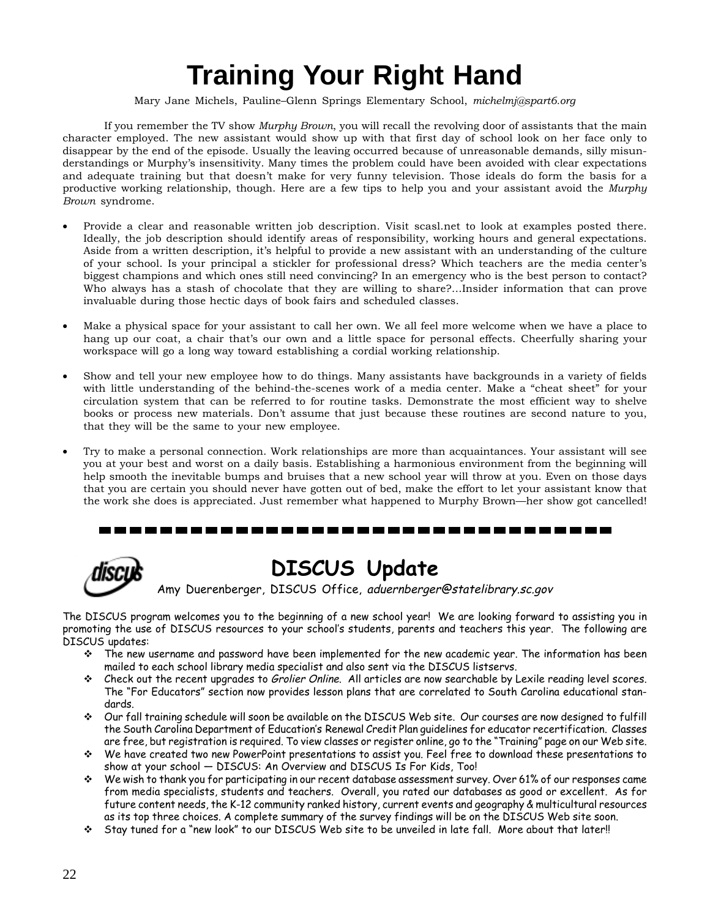# **Training Your Right Hand**

Mary Jane Michels, Pauline–Glenn Springs Elementary School, *michelmj@spart6.org*

If you remember the TV show *Murphy Brown*, you will recall the revolving door of assistants that the main character employed. The new assistant would show up with that first day of school look on her face only to disappear by the end of the episode. Usually the leaving occurred because of unreasonable demands, silly misunderstandings or Murphy's insensitivity. Many times the problem could have been avoided with clear expectations and adequate training but that doesn't make for very funny television. Those ideals do form the basis for a productive working relationship, though. Here are a few tips to help you and your assistant avoid the *Murphy Brown* syndrome.

- Provide a clear and reasonable written job description. Visit scasl.net to look at examples posted there. Ideally, the job description should identify areas of responsibility, working hours and general expectations. Aside from a written description, it's helpful to provide a new assistant with an understanding of the culture of your school. Is your principal a stickler for professional dress? Which teachers are the media center's biggest champions and which ones still need convincing? In an emergency who is the best person to contact? Who always has a stash of chocolate that they are willing to share?…Insider information that can prove invaluable during those hectic days of book fairs and scheduled classes.
- Make a physical space for your assistant to call her own. We all feel more welcome when we have a place to hang up our coat, a chair that's our own and a little space for personal effects. Cheerfully sharing your workspace will go a long way toward establishing a cordial working relationship.
- Show and tell your new employee how to do things. Many assistants have backgrounds in a variety of fields with little understanding of the behind-the-scenes work of a media center. Make a "cheat sheet" for your circulation system that can be referred to for routine tasks. Demonstrate the most efficient way to shelve books or process new materials. Don't assume that just because these routines are second nature to you, that they will be the same to your new employee.
- Try to make a personal connection. Work relationships are more than acquaintances. Your assistant will see you at your best and worst on a daily basis. Establishing a harmonious environment from the beginning will help smooth the inevitable bumps and bruises that a new school year will throw at you. Even on those days that you are certain you should never have gotten out of bed, make the effort to let your assistant know that the work she does is appreciated. Just remember what happened to Murphy Brown—her show got cancelled!

### 



### **DISCUS Update**

Amy Duerenberger, DISCUS Office, aduernberger@statelibrary.sc.gov

The DISCUS program welcomes you to the beginning of a new school year! We are looking forward to assisting you in promoting the use of DISCUS resources to your school's students, parents and teachers this year. The following are DISCUS updates:

- The new username and password have been implemented for the new academic year. The information has been mailed to each school library media specialist and also sent via the DISCUS listservs.
- Check out the recent upgrades to Grolier Online. All articles are now searchable by Lexile reading level scores. The "For Educators" section now provides lesson plans that are correlated to South Carolina educational standards.
- Our fall training schedule will soon be available on the DISCUS Web site. Our courses are now designed to fulfill the South Carolina Department of Education's Renewal Credit Plan guidelines for educator recertification. Classes are free, but registration is required. To view classes or register online, go to the "Training" page on our Web site.
- We have created two new PowerPoint presentations to assist you. Feel free to download these presentations to show at your school — DISCUS: An Overview and DISCUS Is For Kids, Too!
- We wish to thank you for participating in our recent database assessment survey. Over 61% of our responses came from media specialists, students and teachers. Overall, you rated our databases as good or excellent. As for future content needs, the K-12 community ranked history, current events and geography & multicultural resources as its top three choices. A complete summary of the survey findings will be on the DISCUS Web site soon.
- Stay tuned for a "new look" to our DISCUS Web site to be unveiled in late fall. More about that later!!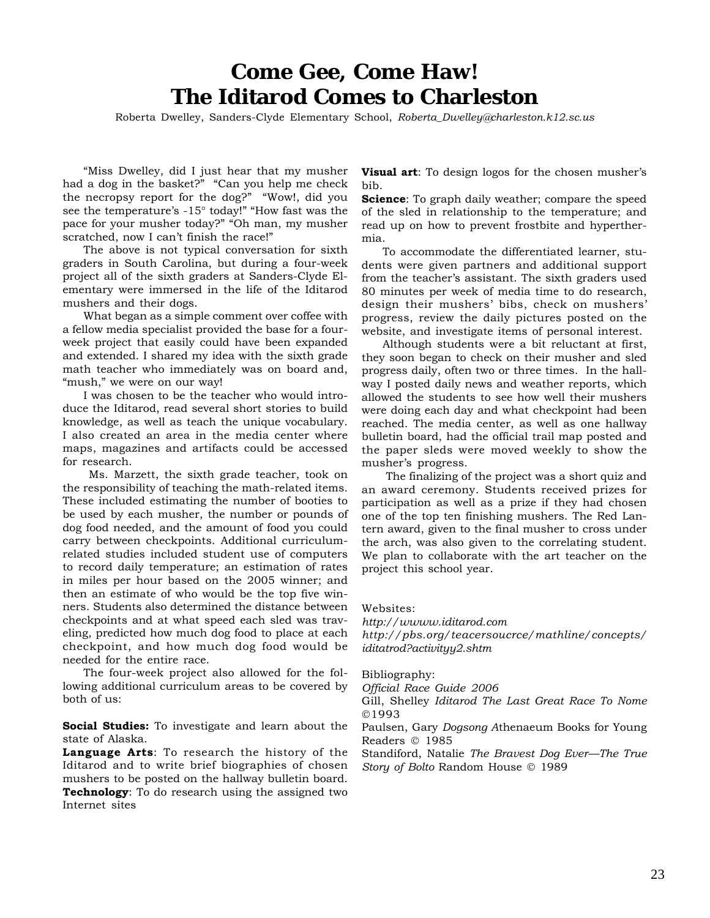### **Come Gee, Come Haw! The Iditarod Comes to Charleston**

Roberta Dwelley, Sanders-Clyde Elementary School, *Roberta\_Dwelley@charleston.k12.sc.us*

"Miss Dwelley, did I just hear that my musher had a dog in the basket?" "Can you help me check the necropsy report for the dog?" "Wow!, did you see the temperature's -15° today!" "How fast was the pace for your musher today?" "Oh man, my musher scratched, now I can't finish the race!"

The above is not typical conversation for sixth graders in South Carolina, but during a four-week project all of the sixth graders at Sanders-Clyde Elementary were immersed in the life of the Iditarod mushers and their dogs.

What began as a simple comment over coffee with a fellow media specialist provided the base for a fourweek project that easily could have been expanded and extended. I shared my idea with the sixth grade math teacher who immediately was on board and, "mush," we were on our way!

I was chosen to be the teacher who would introduce the Iditarod, read several short stories to build knowledge, as well as teach the unique vocabulary. I also created an area in the media center where maps, magazines and artifacts could be accessed for research.

 Ms. Marzett, the sixth grade teacher, took on the responsibility of teaching the math-related items. These included estimating the number of booties to be used by each musher, the number or pounds of dog food needed, and the amount of food you could carry between checkpoints. Additional curriculumrelated studies included student use of computers to record daily temperature; an estimation of rates in miles per hour based on the 2005 winner; and then an estimate of who would be the top five winners. Students also determined the distance between checkpoints and at what speed each sled was traveling, predicted how much dog food to place at each checkpoint, and how much dog food would be needed for the entire race.

The four-week project also allowed for the following additional curriculum areas to be covered by both of us:

**Social Studies:** To investigate and learn about the state of Alaska.

**Language Arts**: To research the history of the Iditarod and to write brief biographies of chosen mushers to be posted on the hallway bulletin board. **Technology**: To do research using the assigned two Internet sites

**Visual art**: To design logos for the chosen musher's bib.

**Science**: To graph daily weather; compare the speed of the sled in relationship to the temperature; and read up on how to prevent frostbite and hyperthermia.

To accommodate the differentiated learner, students were given partners and additional support from the teacher's assistant. The sixth graders used 80 minutes per week of media time to do research, design their mushers' bibs, check on mushers' progress, review the daily pictures posted on the website, and investigate items of personal interest.

Although students were a bit reluctant at first, they soon began to check on their musher and sled progress daily, often two or three times. In the hallway I posted daily news and weather reports, which allowed the students to see how well their mushers were doing each day and what checkpoint had been reached. The media center, as well as one hallway bulletin board, had the official trail map posted and the paper sleds were moved weekly to show the musher's progress.

 The finalizing of the project was a short quiz and an award ceremony. Students received prizes for participation as well as a prize if they had chosen one of the top ten finishing mushers. The Red Lantern award, given to the final musher to cross under the arch, was also given to the correlating student. We plan to collaborate with the art teacher on the project this school year.

Websites:

*http://wwww.iditarod.com http://pbs.org/teacersoucrce/mathline/concepts/ iditatrod?activityy2.shtm*

Bibliography:

*Official Race Guide 2006*

Gill, Shelley *Iditarod The Last Great Race To Nome* ©1993

Paulsen, Gary *Dogsong A*thenaeum Books for Young Readers © 1985

Standiford, Natalie *The Bravest Dog Ever—The True Story of Bolto* Random House © 1989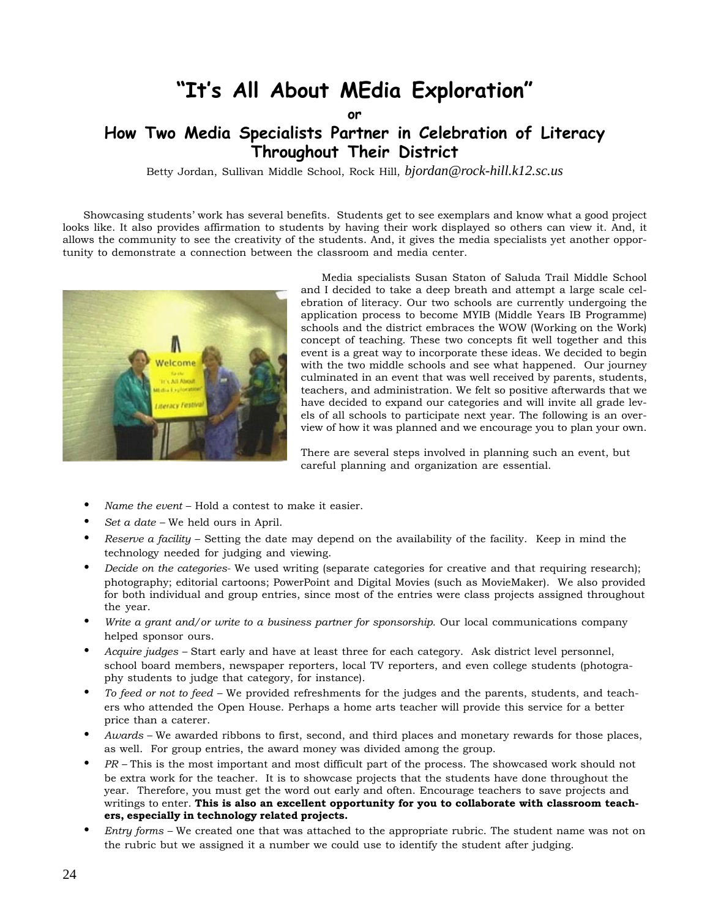### **"It's All About MEdia Exploration"**

**or**

### **How Two Media Specialists Partner in Celebration of Literacy Throughout Their District**

Betty Jordan, Sullivan Middle School, Rock Hill, *bjordan@rock-hill.k12.sc.us*

Showcasing students' work has several benefits. Students get to see exemplars and know what a good project looks like. It also provides affirmation to students by having their work displayed so others can view it. And, it allows the community to see the creativity of the students. And, it gives the media specialists yet another opportunity to demonstrate a connection between the classroom and media center.



Media specialists Susan Staton of Saluda Trail Middle School and I decided to take a deep breath and attempt a large scale celebration of literacy. Our two schools are currently undergoing the application process to become MYIB (Middle Years IB Programme) schools and the district embraces the WOW (Working on the Work) concept of teaching. These two concepts fit well together and this event is a great way to incorporate these ideas. We decided to begin with the two middle schools and see what happened. Our journey culminated in an event that was well received by parents, students, teachers, and administration. We felt so positive afterwards that we have decided to expand our categories and will invite all grade levels of all schools to participate next year. The following is an overview of how it was planned and we encourage you to plan your own.

There are several steps involved in planning such an event, but careful planning and organization are essential.

- *Name the event* Hold a contest to make it easier.
- *Set a date* We held ours in April.
- *Reserve a facility* Setting the date may depend on the availability of the facility. Keep in mind the technology needed for judging and viewing.
- *Decide on the categories-* We used writing (separate categories for creative and that requiring research); photography; editorial cartoons; PowerPoint and Digital Movies (such as MovieMaker). We also provided for both individual and group entries, since most of the entries were class projects assigned throughout the year.
- *Write a grant and/or write to a business partner for sponsorship.* Our local communications company helped sponsor ours.
- *Acquire judges* Start early and have at least three for each category. Ask district level personnel, school board members, newspaper reporters, local TV reporters, and even college students (photography students to judge that category, for instance).
- *To feed or not to feed –* We provided refreshments for the judges and the parents, students, and teachers who attended the Open House. Perhaps a home arts teacher will provide this service for a better price than a caterer.
- *Awards* We awarded ribbons to first, second, and third places and monetary rewards for those places, as well. For group entries, the award money was divided among the group.
- *PR* This is the most important and most difficult part of the process. The showcased work should not be extra work for the teacher. It is to showcase projects that the students have done throughout the year. Therefore, you must get the word out early and often. Encourage teachers to save projects and writings to enter. **This is also an excellent opportunity for you to collaborate with classroom teachers, especially in technology related projects.**
- *Entry forms* We created one that was attached to the appropriate rubric. The student name was not on the rubric but we assigned it a number we could use to identify the student after judging.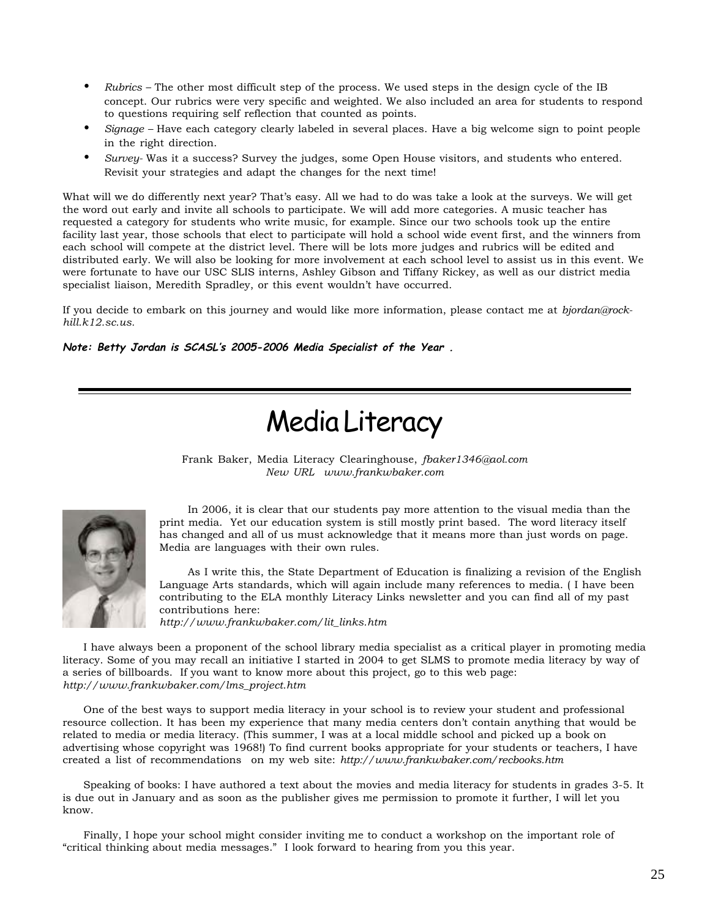- *Rubrics –* The other most difficult step of the process. We used steps in the design cycle of the IB concept. Our rubrics were very specific and weighted. We also included an area for students to respond to questions requiring self reflection that counted as points.
- *Signage* Have each category clearly labeled in several places. Have a big welcome sign to point people in the right direction.
- *Survey-* Was it a success? Survey the judges, some Open House visitors, and students who entered. Revisit your strategies and adapt the changes for the next time!

What will we do differently next year? That's easy. All we had to do was take a look at the surveys. We will get the word out early and invite all schools to participate. We will add more categories. A music teacher has requested a category for students who write music, for example. Since our two schools took up the entire facility last year, those schools that elect to participate will hold a school wide event first, and the winners from each school will compete at the district level. There will be lots more judges and rubrics will be edited and distributed early. We will also be looking for more involvement at each school level to assist us in this event. We were fortunate to have our USC SLIS interns, Ashley Gibson and Tiffany Rickey, as well as our district media specialist liaison, Meredith Spradley, or this event wouldn't have occurred.

If you decide to embark on this journey and would like more information, please contact me at *bjordan@rockhill.k12.sc.us.*

**Note: Betty Jordan is SCASL's 2005-2006 Media Specialist of the Year .**

# Media Literacy

Frank Baker, Media Literacy Clearinghouse, *fbaker1346@aol.com New URL www.frankwbaker.com*



In 2006, it is clear that our students pay more attention to the visual media than the print media. Yet our education system is still mostly print based. The word literacy itself has changed and all of us must acknowledge that it means more than just words on page. Media are languages with their own rules.

As I write this, the State Department of Education is finalizing a revision of the English Language Arts standards, which will again include many references to media. ( I have been contributing to the ELA monthly Literacy Links newsletter and you can find all of my past contributions here:

*http://www.frankwbaker.com/lit\_links.htm*

I have always been a proponent of the school library media specialist as a critical player in promoting media literacy. Some of you may recall an initiative I started in 2004 to get SLMS to promote media literacy by way of a series of billboards. If you want to know more about this project, go to this web page: *http://www.frankwbaker.com/lms\_project.htm*

One of the best ways to support media literacy in your school is to review your student and professional resource collection. It has been my experience that many media centers don't contain anything that would be related to media or media literacy. (This summer, I was at a local middle school and picked up a book on advertising whose copyright was 1968!) To find current books appropriate for your students or teachers, I have created a list of recommendations on my web site: *http://www.frankwbaker.com/recbooks.htm*

Speaking of books: I have authored a text about the movies and media literacy for students in grades 3-5. It is due out in January and as soon as the publisher gives me permission to promote it further, I will let you know.

Finally, I hope your school might consider inviting me to conduct a workshop on the important role of "critical thinking about media messages." I look forward to hearing from you this year.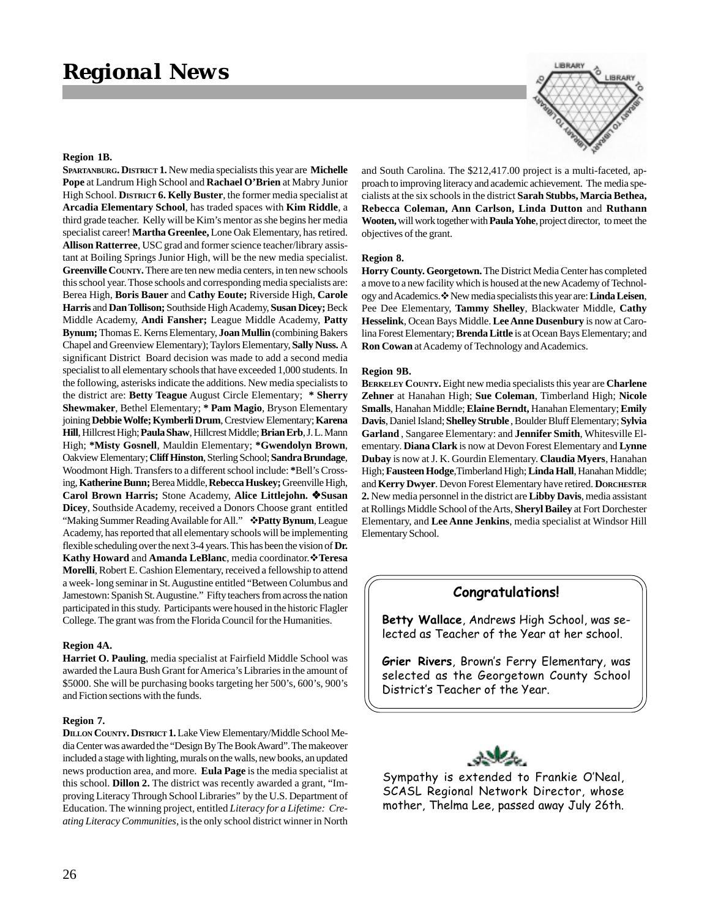#### **Region 1B.**

**SPARTANBURG. DISTRICT 1.** New media specialists this year are **Michelle Pope** at Landrum High School and **Rachael O'Brien** at Mabry Junior High School. **DISTRICT 6. Kelly Buster**, the former media specialist at **Arcadia Elementary School**, has traded spaces with **Kim Riddle**, a third grade teacher. Kelly will be Kim's mentor as she begins her media specialist career! **Martha Greenlee,** Lone Oak Elementary, has retired. **Allison Ratterree**, USC grad and former science teacher/library assistant at Boiling Springs Junior High, will be the new media specialist. **Greenville COUNTY.** There are ten new media centers, in ten new schools this school year. Those schools and corresponding media specialists are: Berea High, **Boris Bauer** and **Cathy Eoute;** Riverside High, **Carole Harris** and **Dan Tollison;** Southside High Academy, **Susan Dicey;** Beck Middle Academy, **Andi Fansher;** League Middle Academy, **Patty Bynum;** Thomas E. Kerns Elementary, **Joan Mullin** (combining Bakers Chapel and Greenview Elementary); Taylors Elementary, **Sally Nuss.** A significant District Board decision was made to add a second media specialist to all elementary schools that have exceeded 1,000 students. In the following, asterisks indicate the additions. New media specialists to the district are: **Betty Teague** August Circle Elementary; **\* Sherry Shewmaker**, Bethel Elementary; **\* Pam Magio**, Bryson Elementary joining **Debbie Wolfe;Kymberli Drum**, Crestview Elementary; **Karena Hill**, Hillcrest High; **Paula Shaw**, Hillcrest Middle; **Brian Erb**, J. L. Mann High; **\*Misty Gosnell**, Mauldin Elementary; **\*Gwendolyn Brown**, Oakview Elementary; **Cliff Hinston**, Sterling School; **Sandra Brundage**, Woodmont High. Transfers to a different school include: **\***Bell's Crossing, **Katherine Bunn;** Berea Middle, **Rebecca Huskey;** Greenville High, **Carol Brown Harris;** Stone Academy, **Alice Littlejohn. Susan Dicey**, Southside Academy, received a Donors Choose grant entitled "Making Summer Reading Available for All." **Patty Bynum**, League Academy, has reported that all elementary schools will be implementing flexible scheduling over the next 3-4 years. This has been the vision of **Dr. Kathy Howard** and **Amanda LeBlanc**, media coordinator.**Teresa Morelli**, Robert E. Cashion Elementary, received a fellowship to attend a week- long seminar in St. Augustine entitled "Between Columbus and Jamestown: Spanish St. Augustine." Fifty teachers from across the nation participated in this study. Participants were housed in the historic Flagler College. The grant was from the Florida Council for the Humanities.

#### **Region 4A.**

**Harriet O. Pauling**, media specialist at Fairfield Middle School was awarded the Laura Bush Grant for America's Libraries in the amount of \$5000. She will be purchasing books targeting her 500's, 600's, 900's and Fiction sections with the funds.

#### **Region 7.**

**DILLON COUNTY. DISTRICT 1.** Lake View Elementary/Middle School Media Center was awarded the "Design By The Book Award". The makeover included a stage with lighting, murals on the walls, new books, an updated news production area, and more. **Eula Page** is the media specialist at this school. **Dillon 2.** The district was recently awarded a grant, "Improving Literacy Through School Libraries" by the U.S. Department of Education. The winning project, entitled *Literacy for a Lifetime: Creating Literacy Communities,* is the only school district winner in North



and South Carolina. The \$212,417.00 project is a multi-faceted, approach to improving literacy and academic achievement. The media specialists at the six schools in the district **Sarah Stubbs, Marcia Bethea, Rebecca Coleman, Ann Carlson, Linda Dutton** and **Ruthann Wooten,** will work together with **Paula Yohe**, project director, to meet the objectives of the grant.

#### **Region 8.**

**Horry County. Georgetown.** The District Media Center has completed a move to a new facility which is housed at the new Academy of Technology and Academics. New media specialists this year are: **Linda Leisen**, Pee Dee Elementary, **Tammy Shelley**, Blackwater Middle, **Cathy Hesselink**, Ocean Bays Middle. **Lee Anne Dusenbury** is now at Carolina Forest Elementary; **Brenda Little** is at Ocean Bays Elementary; and **Ron Cowan** at Academy of Technology and Academics.

#### **Region 9B.**

**BERKELEY COUNTY.** Eight new media specialists this year are **Charlene Zehner** at Hanahan High; **Sue Coleman**, Timberland High; **Nicole Smalls**, Hanahan Middle; **Elaine Berndt,** Hanahan Elementary; **Emily Davis**, Daniel Island; **Shelley Struble** , Boulder Bluff Elementary; **Sylvia Garland** , Sangaree Elementary: and **Jennifer Smith**, Whitesville Elementary. **Diana Clark** is now at Devon Forest Elementary and **Lynne Dubay** is now at J. K. Gourdin Elementary. **Claudia Myers**, Hanahan High; **Fausteen Hodge**,Timberland High; **Linda Hall**, Hanahan Middle; and **Kerry Dwyer**. Devon Forest Elementary have retired. **DORCHESTER 2.** New media personnel in the district are **Libby Davis**, media assistant at Rollings Middle School of the Arts, **Sheryl Bailey** at Fort Dorchester Elementary, and **Lee Anne Jenkins**, media specialist at Windsor Hill Elementary School.

### **Congratulations!**

**Betty Wallace**, Andrews High School, was selected as Teacher of the Year at her school.

**Grier Rivers**, Brown's Ferry Elementary, was selected as the Georgetown County School District's Teacher of the Year.



Sympathy is extended to Frankie O'Neal, SCASL Regional Network Director, whose mother, Thelma Lee, passed away July 26th.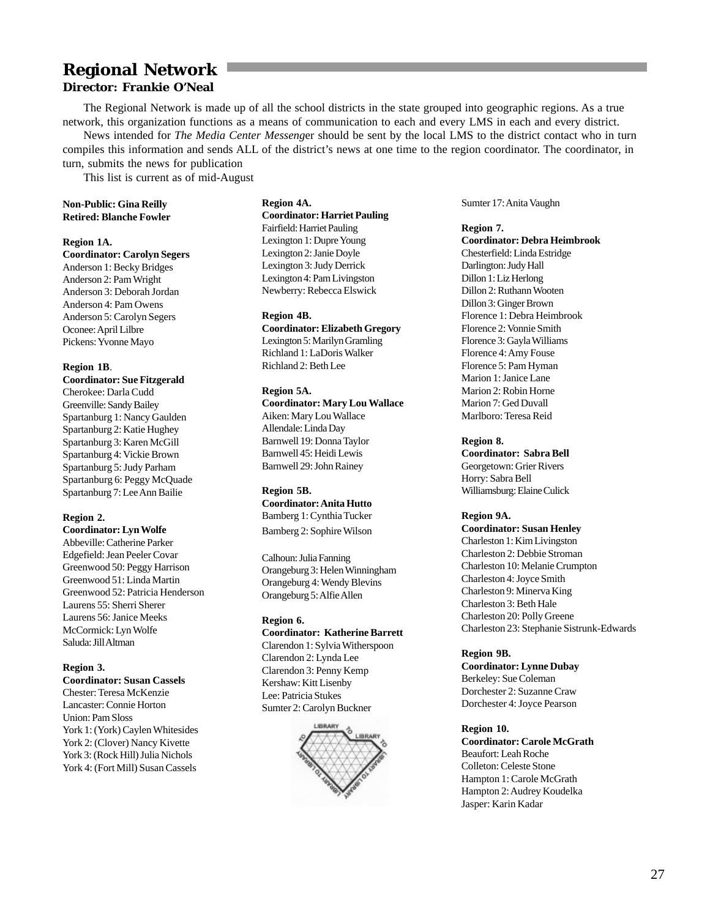### **Regional Network Director: Frankie O'Neal**

The Regional Network is made up of all the school districts in the state grouped into geographic regions. As a true network, this organization functions as a means of communication to each and every LMS in each and every district.

News intended for *The Media Center Messeng*er should be sent by the local LMS to the district contact who in turn compiles this information and sends ALL of the district's news at one time to the region coordinator. The coordinator, in turn, submits the news for publication

This list is current as of mid-August

### **Non-Public: Gina Reilly Retired: Blanche Fowler**

**Region 1A.**

**Coordinator: Carolyn Segers** Anderson 1: Becky Bridges Anderson 2: Pam Wright Anderson 3: Deborah Jordan Anderson 4: Pam Owens Anderson 5: Carolyn Segers Oconee: April Lilbre Pickens: Yvonne Mayo

### **Region 1B**.

**Coordinator: Sue Fitzgerald** Cherokee: Darla Cudd Greenville: Sandy Bailey Spartanburg 1: Nancy Gaulden Spartanburg 2: Katie Hughey Spartanburg 3: Karen McGill Spartanburg 4: Vickie Brown Spartanburg 5: Judy Parham Spartanburg 6: Peggy McQuade Spartanburg 7: Lee Ann Bailie

### **Region 2.**

**Coordinator: Lyn Wolfe** Abbeville: Catherine Parker Edgefield: Jean Peeler Covar Greenwood 50: Peggy Harrison Greenwood 51: Linda Martin Greenwood 52: Patricia Henderson Laurens 55: Sherri Sherer Laurens 56: Janice Meeks McCormick: Lyn Wolfe Saluda: Jill Altman

### **Region 3.**

**Coordinator: Susan Cassels** Chester: Teresa McKenzie Lancaster: Connie Horton Union: Pam Sloss York 1: (York) Caylen Whitesides York 2: (Clover) Nancy Kivette York 3: (Rock Hill) Julia Nichols York 4: (Fort Mill) Susan Cassels

### **Region 4A.**

**Coordinator: Harriet Pauling** Fairfield: Harriet Pauling Lexington 1: Dupre Young Lexington 2: Janie Doyle Lexington 3: Judy Derrick Lexington 4: Pam Livingston Newberry: Rebecca Elswick

### **Region 4B.**

**Coordinator: Elizabeth Gregory** Lexington 5: Marilyn Gramling Richland 1: LaDoris Walker Richland 2: Beth Lee

### **Region 5A.**

**Coordinator: Mary Lou Wallace** Aiken: Mary Lou Wallace Allendale: Linda Day Barnwell 19: Donna Taylor Barnwell 45: Heidi Lewis Barnwell 29: John Rainey

### **Region 5B.**

**Coordinator: Anita Hutto** Bamberg 1: Cynthia Tucker Bamberg 2: Sophire Wilson

Calhoun: Julia Fanning Orangeburg 3: Helen Winningham Orangeburg 4: Wendy Blevins Orangeburg 5: Alfie Allen

### **Region 6.**

**Coordinator: Katherine Barrett** Clarendon 1: Sylvia Witherspoon Clarendon 2: Lynda Lee Clarendon 3: Penny Kemp Kershaw: Kitt Lisenby Lee: Patricia Stukes Sumter 2: Carolyn Buckner



Sumter 17: Anita Vaughn

**Region 7. Coordinator: Debra Heimbrook** Chesterfield: Linda Estridge Darlington: Judy Hall Dillon 1: Liz Herlong Dillon 2: Ruthann Wooten Dillon 3: Ginger Brown Florence 1: Debra Heimbrook Florence 2: Vonnie Smith Florence 3: Gayla Williams Florence 4: Amy Fouse Florence 5: Pam Hyman Marion 1: Janice Lane Marion 2: Robin Horne Marion 7: Ged Duvall Marlboro: Teresa Reid

### **Region 8.**

**Coordinator: Sabra Bell** Georgetown: Grier Rivers Horry: Sabra Bell Williamsburg: Elaine Culick

### **Region 9A.**

**Coordinator: Susan Henley** Charleston 1: Kim Livingston Charleston 2: Debbie Stroman Charleston 10: Melanie Crumpton Charleston 4: Joyce Smith Charleston 9: Minerva King Charleston 3: Beth Hale Charleston 20: Polly Greene Charleston 23: Stephanie Sistrunk-Edwards

### **Region 9B.**

**Coordinator: Lynne Dubay** Berkeley: Sue Coleman Dorchester 2: Suzanne Craw Dorchester 4: Joyce Pearson

### **Region 10.**

**Coordinator: Carole McGrath** Beaufort: Leah Roche Colleton: Celeste Stone Hampton 1: Carole McGrath Hampton 2: Audrey Koudelka Jasper: Karin Kadar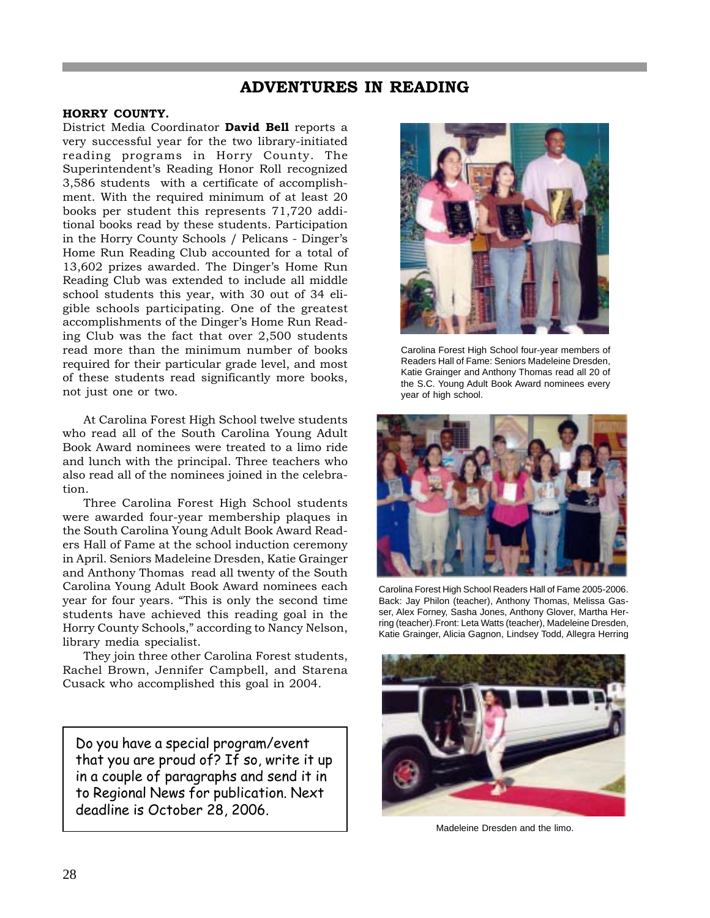### **ADVENTURES IN READING**

### **HORRY COUNTY.**

District Media Coordinator **David Bell** reports a very successful year for the two library-initiated reading programs in Horry County. The Superintendent's Reading Honor Roll recognized 3,586 students with a certificate of accomplishment. With the required minimum of at least 20 books per student this represents 71,720 additional books read by these students. Participation in the Horry County Schools / Pelicans - Dinger's Home Run Reading Club accounted for a total of 13,602 prizes awarded. The Dinger's Home Run Reading Club was extended to include all middle school students this year, with 30 out of 34 eligible schools participating. One of the greatest accomplishments of the Dinger's Home Run Reading Club was the fact that over 2,500 students read more than the minimum number of books required for their particular grade level, and most of these students read significantly more books, not just one or two.

At Carolina Forest High School twelve students who read all of the South Carolina Young Adult Book Award nominees were treated to a limo ride and lunch with the principal. Three teachers who also read all of the nominees joined in the celebration.

Three Carolina Forest High School students were awarded four-year membership plaques in the South Carolina Young Adult Book Award Readers Hall of Fame at the school induction ceremony in April. Seniors Madeleine Dresden, Katie Grainger and Anthony Thomas read all twenty of the South Carolina Young Adult Book Award nominees each year for four years. "This is only the second time students have achieved this reading goal in the Horry County Schools," according to Nancy Nelson, library media specialist.

They join three other Carolina Forest students, Rachel Brown, Jennifer Campbell, and Starena Cusack who accomplished this goal in 2004.

Do you have a special program/event that you are proud of? If so, write it up in a couple of paragraphs and send it in to Regional News for publication. Next deadline is October 28, 2006.



Carolina Forest High School four-year members of Readers Hall of Fame: Seniors Madeleine Dresden, Katie Grainger and Anthony Thomas read all 20 of the S.C. Young Adult Book Award nominees every year of high school.



Carolina Forest High School Readers Hall of Fame 2005-2006. Back: Jay Philon (teacher), Anthony Thomas, Melissa Gasser, Alex Forney, Sasha Jones, Anthony Glover, Martha Herring (teacher).Front: Leta Watts (teacher), Madeleine Dresden, Katie Grainger, Alicia Gagnon, Lindsey Todd, Allegra Herring



Madeleine Dresden and the limo.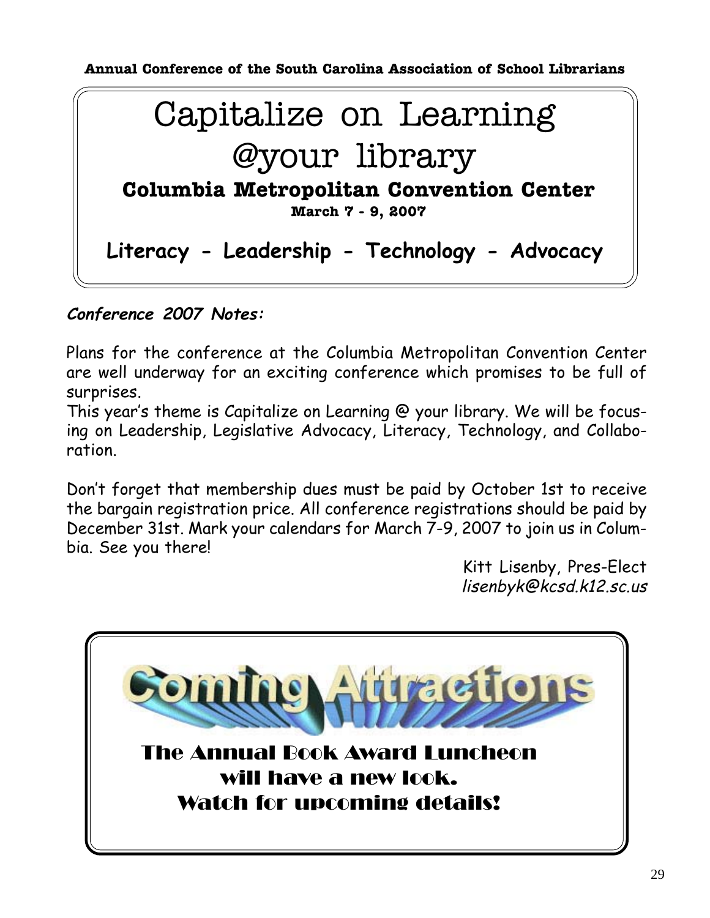**Annual Conference of the South Carolina Association of School Librarians**



### **Conference 2007 Notes:**

Plans for the conference at the Columbia Metropolitan Convention Center are well underway for an exciting conference which promises to be full of surprises.

This year's theme is Capitalize on Learning @ your library. We will be focusing on Leadership, Legislative Advocacy, Literacy, Technology, and Collaboration.

Don't forget that membership dues must be paid by October 1st to receive the bargain registration price. All conference registrations should be paid by December 31st. Mark your calendars for March 7-9, 2007 to join us in Columbia. See you there!

Kitt Lisenby, Pres-Elect lisenbyk@kcsd.k12.sc.us

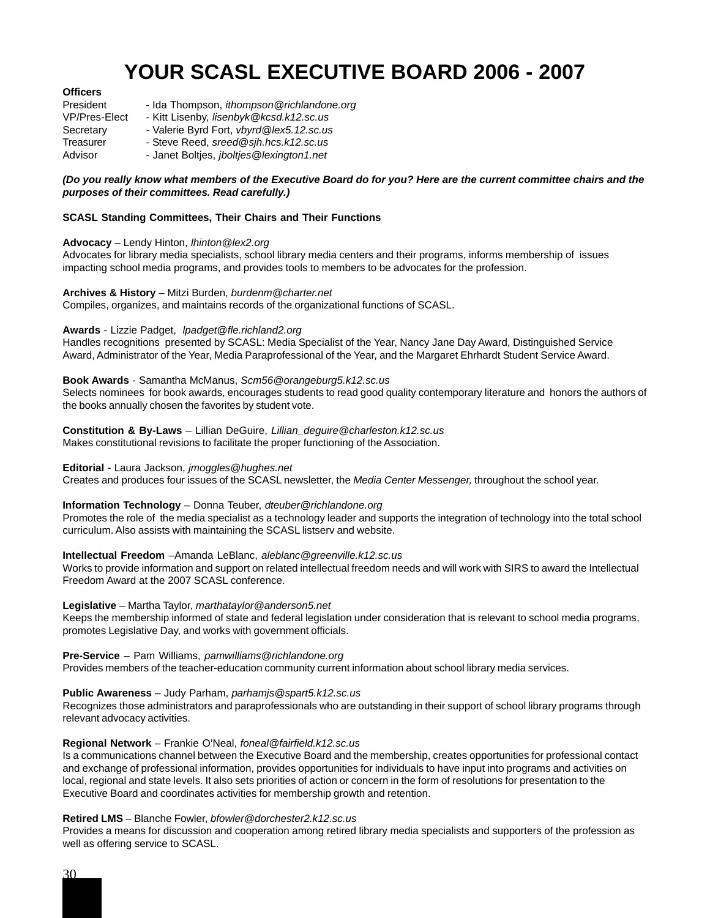### **YOUR SCASL EXECUTIVE BOARD 2006 - 2007**

### **Officers**

| President            | - Ida Thompson, <i>ithompson@richlandone.org</i> |
|----------------------|--------------------------------------------------|
| <b>VP/Pres-Elect</b> | - Kitt Lisenby, lisenbyk@kcsd.k12.sc.us          |
| Secretary            | - Valerie Byrd Fort, vbyrd@lex5.12.sc.us         |
| Treasurer            | - Steve Reed, sreed@sih.hcs.k12.sc.us            |
| Advisor              | - Janet Boltjes, jboltjes@lexington1.net         |

### *(Do you really know what members of the Executive Board do for you? Here are the current committee chairs and the purposes of their committees. Read carefully.)*

### **SCASL Standing Committees, Their Chairs and Their Functions**

### **Advocacy** – Lendy Hinton, *lhinton@lex2.org*

Advocates for library media specialists, school library media centers and their programs, informs membership of issues impacting school media programs, and provides tools to members to be advocates for the profession.

#### **Archives & History** – Mitzi Burden, *burdenm@charter.net*

Compiles, organizes, and maintains records of the organizational functions of SCASL.

### **Awards** - Lizzie Padget, *lpadget@fle.richland2.org*

Handles recognitions presented by SCASL: Media Specialist of the Year, Nancy Jane Day Award, Distinguished Service Award, Administrator of the Year, Media Paraprofessional of the Year, and the Margaret Ehrhardt Student Service Award.

### **Book Awards** - Samantha McManus, *Scm56@orangeburg5.k12.sc.us*

Selects nominees for book awards, encourages students to read good quality contemporary literature and honors the authors of the books annually chosen the favorites by student vote.

**Constitution & By-Laws** – Lillian DeGuire, *Lillian\_deguire@charleston.k12.sc.us* Makes constitutional revisions to facilitate the proper functioning of the Association.

#### **Editorial** - Laura Jackson, *jmoggles@hughes.net*

Creates and produces four issues of the SCASL newsletter, the *Media Center Messenger,* throughout the school year.

### **Information Technology** – Donna Teuber, *dteuber@richlandone.org*

Promotes the role of the media specialist as a technology leader and supports the integration of technology into the total school curriculum. Also assists with maintaining the SCASL listserv and website.

#### **Intellectual Freedom** –Amanda LeBlanc, *aleblanc@greenville.k12.sc.us*

Works to provide information and support on related intellectual freedom needs and will work with SIRS to award the Intellectual Freedom Award at the 2007 SCASL conference.

**Legislative** – Martha Taylor, *marthataylor@anderson5.net*

Keeps the membership informed of state and federal legislation under consideration that is relevant to school media programs, promotes Legislative Day, and works with government officials.

### **Pre-Service** – Pam Williams, *pamwilliams@richlandone.org*

Provides members of the teacher-education community current information about school library media services.

### **Public Awareness** – Judy Parham, *parhamjs@spart5.k12.sc.us*

Recognizes those administrators and paraprofessionals who are outstanding in their support of school library programs through relevant advocacy activities.

### **Regional Network** – Frankie O'Neal, *foneal@fairfield.k12.sc.us*

Is a communications channel between the Executive Board and the membership, creates opportunities for professional contact and exchange of professional information, provides opportunities for individuals to have input into programs and activities on local, regional and state levels. It also sets priorities of action or concern in the form of resolutions for presentation to the Executive Board and coordinates activities for membership growth and retention.

### **Retired LMS** – Blanche Fowler, *bfowler@dorchester2.k12.sc.us*

Provides a means for discussion and cooperation among retired library media specialists and supporters of the profession as well as offering service to SCASL.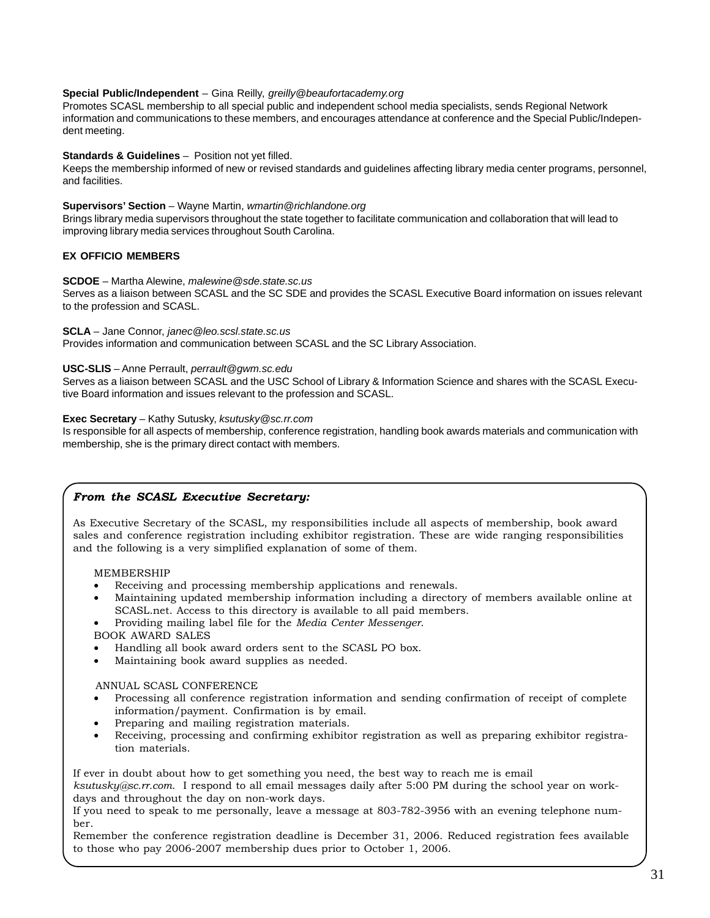### **Special Public/Independent** – Gina Reilly, *greilly@beaufortacademy.org*

Promotes SCASL membership to all special public and independent school media specialists, sends Regional Network information and communications to these members, and encourages attendance at conference and the Special Public/Independent meeting.

### **Standards & Guidelines** – Position not yet filled.

Keeps the membership informed of new or revised standards and guidelines affecting library media center programs, personnel, and facilities.

### **Supervisors' Section** – Wayne Martin, *wmartin@richlandone.org*

Brings library media supervisors throughout the state together to facilitate communication and collaboration that will lead to improving library media services throughout South Carolina.

### **EX OFFICIO MEMBERS**

### **SCDOE** – Martha Alewine, *malewine@sde.state.sc.us*

Serves as a liaison between SCASL and the SC SDE and provides the SCASL Executive Board information on issues relevant to the profession and SCASL.

#### **SCLA** – Jane Connor, *janec@leo.scsl.state.sc.us*

Provides information and communication between SCASL and the SC Library Association.

### **USC-SLIS** – Anne Perrault, *perrault@gwm.sc.edu*

Serves as a liaison between SCASL and the USC School of Library & Information Science and shares with the SCASL Executive Board information and issues relevant to the profession and SCASL.

### **Exec Secretary** – Kathy Sutusky, *ksutusky@sc.rr.com*

Is responsible for all aspects of membership, conference registration, handling book awards materials and communication with membership, she is the primary direct contact with members.

### *From the SCASL Executive Secretary:*

As Executive Secretary of the SCASL, my responsibilities include all aspects of membership, book award sales and conference registration including exhibitor registration. These are wide ranging responsibilities and the following is a very simplified explanation of some of them.

#### MEMBERSHIP

- Receiving and processing membership applications and renewals.
- Maintaining updated membership information including a directory of members available online at SCASL.net. Access to this directory is available to all paid members.
- Providing mailing label file for the *Media Center Messenger*.
- BOOK AWARD SALES
- Handling all book award orders sent to the SCASL PO box.
- Maintaining book award supplies as needed.

### ANNUAL SCASL CONFERENCE

- Processing all conference registration information and sending confirmation of receipt of complete information/payment. Confirmation is by email.
- Preparing and mailing registration materials.
- Receiving, processing and confirming exhibitor registration as well as preparing exhibitor registration materials.

If ever in doubt about how to get something you need, the best way to reach me is email

*ksutusky@sc.rr.com*. I respond to all email messages daily after 5:00 PM during the school year on workdays and throughout the day on non-work days.

If you need to speak to me personally, leave a message at 803-782-3956 with an evening telephone number.

Remember the conference registration deadline is December 31, 2006. Reduced registration fees available to those who pay 2006-2007 membership dues prior to October 1, 2006.